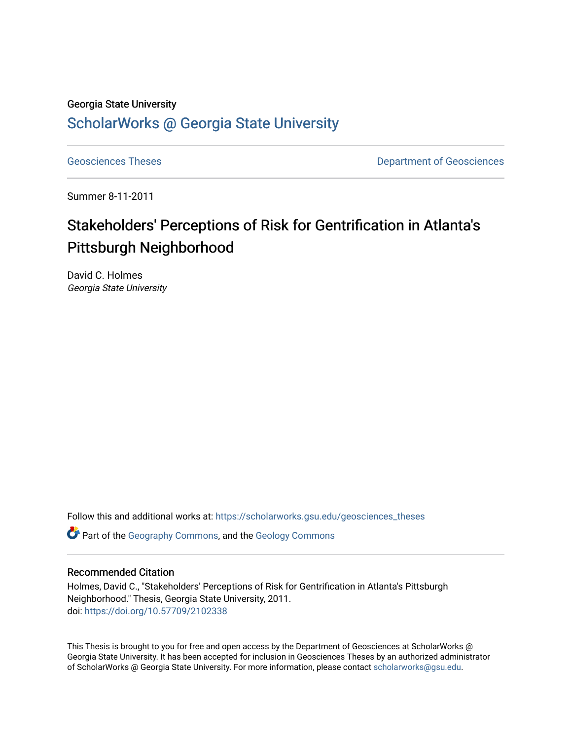## Georgia State University [ScholarWorks @ Georgia State University](https://scholarworks.gsu.edu/)

[Geosciences Theses](https://scholarworks.gsu.edu/geosciences_theses) **Department of Geosciences** 

Summer 8-11-2011

# Stakeholders' Perceptions of Risk for Gentrification in Atlanta's Pittsburgh Neighborhood

David C. Holmes Georgia State University

Follow this and additional works at: [https://scholarworks.gsu.edu/geosciences\\_theses](https://scholarworks.gsu.edu/geosciences_theses?utm_source=scholarworks.gsu.edu%2Fgeosciences_theses%2F38&utm_medium=PDF&utm_campaign=PDFCoverPages)

**C** Part of the [Geography Commons,](http://network.bepress.com/hgg/discipline/354?utm_source=scholarworks.gsu.edu%2Fgeosciences_theses%2F38&utm_medium=PDF&utm_campaign=PDFCoverPages) and the Geology Commons

### Recommended Citation

Holmes, David C., "Stakeholders' Perceptions of Risk for Gentrification in Atlanta's Pittsburgh Neighborhood." Thesis, Georgia State University, 2011. doi: <https://doi.org/10.57709/2102338>

This Thesis is brought to you for free and open access by the Department of Geosciences at ScholarWorks @ Georgia State University. It has been accepted for inclusion in Geosciences Theses by an authorized administrator of ScholarWorks @ Georgia State University. For more information, please contact [scholarworks@gsu.edu.](mailto:scholarworks@gsu.edu)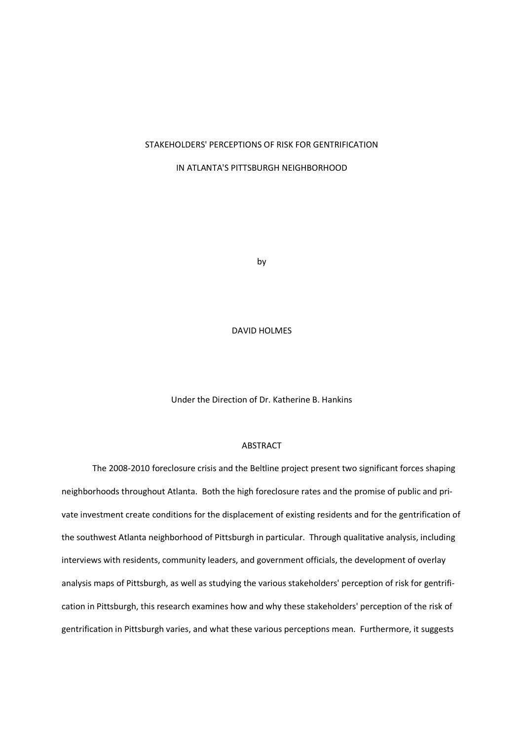### STAKEHOLDERS' PERCEPTIONS OF RISK FOR GENTRIFICATION

IN ATLANTA'S PITTSBURGH NEIGHBORHOOD

by

DAVID HOLMES

Under the Direction of Dr. Katherine B. Hankins

### ABSTRACT

The 2008-2010 foreclosure crisis and the Beltline project present two significant forces shaping neighborhoods throughout Atlanta. Both the high foreclosure rates and the promise of public and private investment create conditions for the displacement of existing residents and for the gentrification of the southwest Atlanta neighborhood of Pittsburgh in particular. Through qualitative analysis, including interviews with residents, community leaders, and government officials, the development of overlay analysis maps of Pittsburgh, as well as studying the various stakeholders' perception of risk for gentrification in Pittsburgh, this research examines how and why these stakeholders' perception of the risk of gentrification in Pittsburgh varies, and what these various perceptions mean. Furthermore, it suggests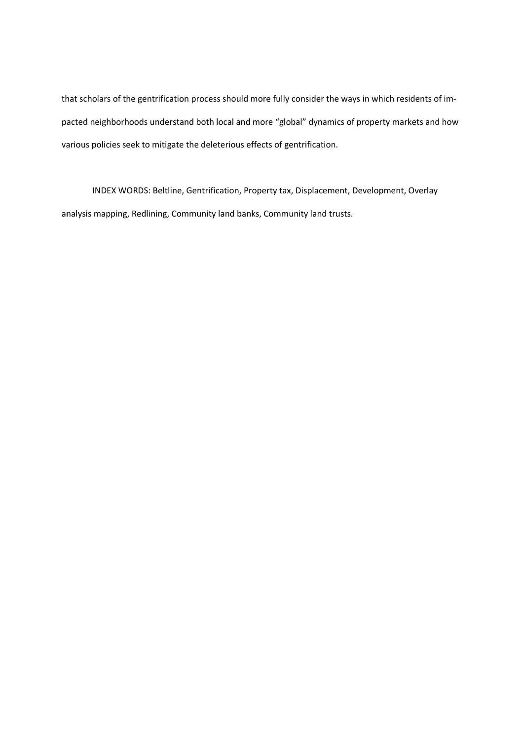that scholars of the gentrification process should more fully consider the ways in which residents of impacted neighborhoods understand both local and more "global" dynamics of property markets and how various policies seek to mitigate the deleterious effects of gentrification.

INDEX WORDS: Beltline, Gentrification, Property tax, Displacement, Development, Overlay analysis mapping, Redlining, Community land banks, Community land trusts.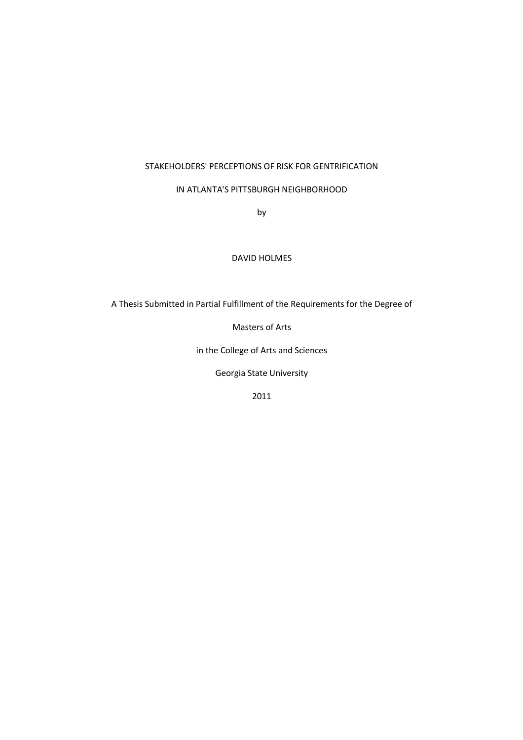## STAKEHOLDERS' PERCEPTIONS OF RISK FOR GENTRIFICATION

## IN ATLANTA'S PITTSBURGH NEIGHBORHOOD

by

## DAVID HOLMES

A Thesis Submitted in Partial Fulfillment of the Requirements for the Degree of

Masters of Arts

in the College of Arts and Sciences

Georgia State University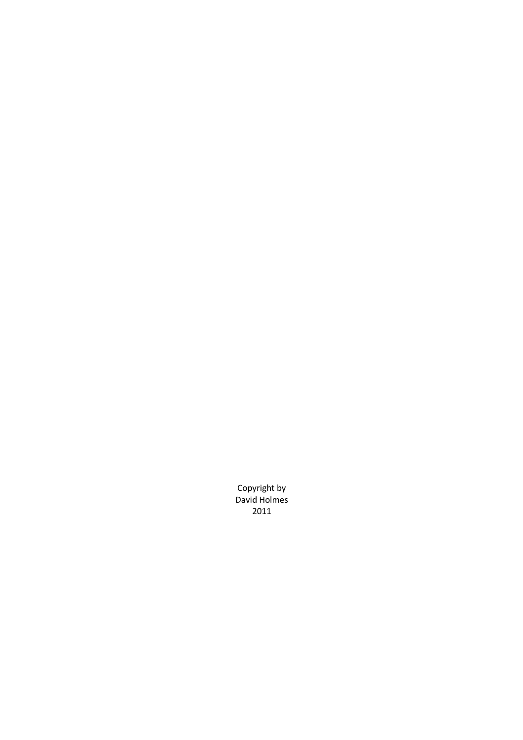Copyright by David Holmes 2011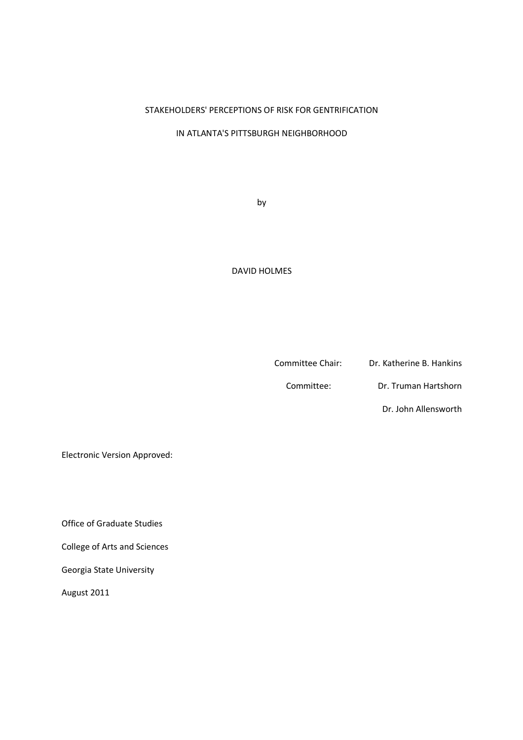## STAKEHOLDERS' PERCEPTIONS OF RISK FOR GENTRIFICATION

## IN ATLANTA'S PITTSBURGH NEIGHBORHOOD

by

## DAVID HOLMES

Committee Chair: Dr. Katherine B. Hankins

Committee: Dr. Truman Hartshorn

Dr. John Allensworth

Electronic Version Approved:

Office of Graduate Studies

College of Arts and Sciences

Georgia State University

August 2011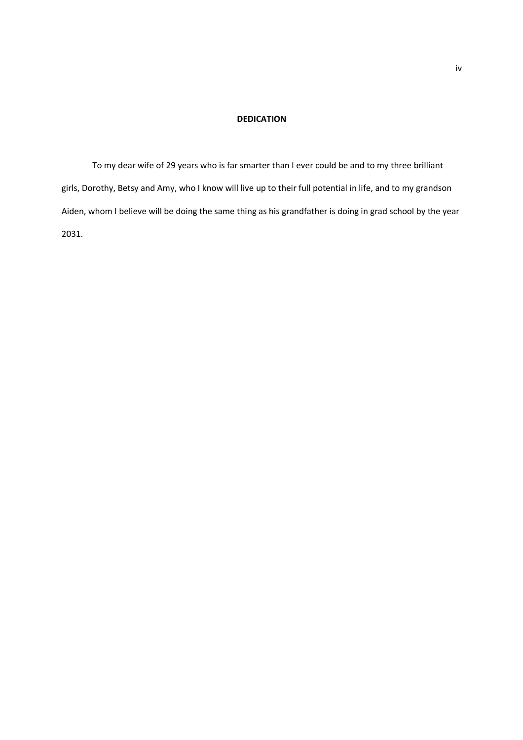### **DEDICATION**

To my dear wife of 29 years who is far smarter than I ever could be and to my three brilliant girls, Dorothy, Betsy and Amy, who I know will live up to their full potential in life, and to my grandson Aiden, whom I believe will be doing the same thing as his grandfather is doing in grad school by the year 2031.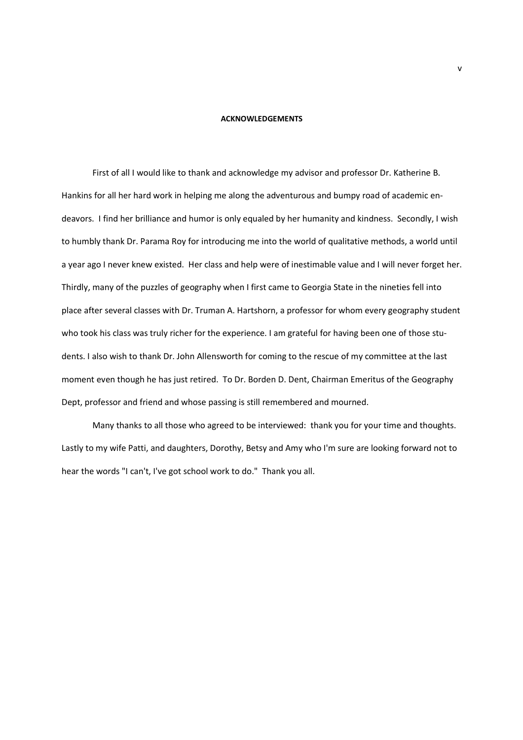#### **ACKNOWLEDGEMENTS**

First of all I would like to thank and acknowledge my advisor and professor Dr. Katherine B. Hankins for all her hard work in helping me along the adventurous and bumpy road of academic endeavors. I find her brilliance and humor is only equaled by her humanity and kindness. Secondly, I wish to humbly thank Dr. Parama Roy for introducing me into the world of qualitative methods, a world until a year ago I never knew existed. Her class and help were of inestimable value and I will never forget her. Thirdly, many of the puzzles of geography when I first came to Georgia State in the nineties fell into place after several classes with Dr. Truman A. Hartshorn, a professor for whom every geography student who took his class was truly richer for the experience. I am grateful for having been one of those students. I also wish to thank Dr. John Allensworth for coming to the rescue of my committee at the last moment even though he has just retired. To Dr. Borden D. Dent, Chairman Emeritus of the Geography Dept, professor and friend and whose passing is still remembered and mourned.

Many thanks to all those who agreed to be interviewed: thank you for your time and thoughts. Lastly to my wife Patti, and daughters, Dorothy, Betsy and Amy who I'm sure are looking forward not to hear the words "I can't, I've got school work to do." Thank you all.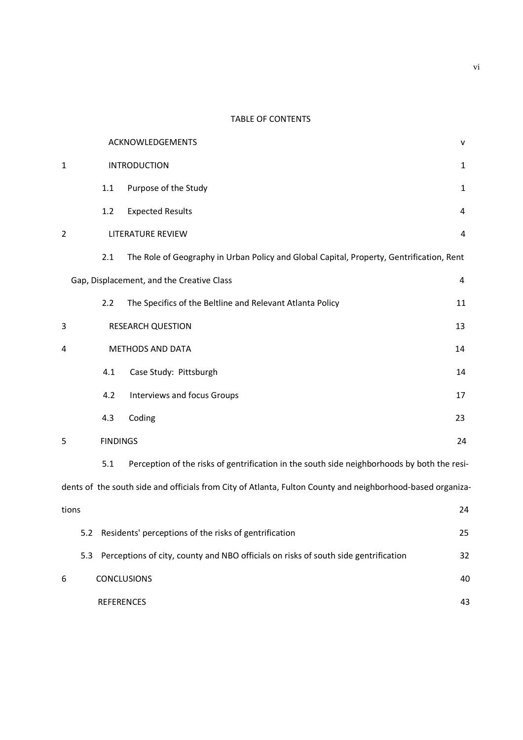## TABLE OF CONTENTS

|                      |                  |     | ACKNOWLEDGEMENTS                                                                                           | v  |
|----------------------|------------------|-----|------------------------------------------------------------------------------------------------------------|----|
| 1                    |                  |     | <b>INTRODUCTION</b>                                                                                        | 1  |
|                      |                  | 1.1 | Purpose of the Study                                                                                       | 1  |
|                      |                  | 1.2 | <b>Expected Results</b>                                                                                    | 4  |
| $\overline{2}$       |                  |     | <b>LITERATURE REVIEW</b>                                                                                   | 4  |
|                      |                  | 2.1 | The Role of Geography in Urban Policy and Global Capital, Property, Gentrification, Rent                   |    |
|                      |                  |     | Gap, Displacement, and the Creative Class                                                                  | 4  |
|                      |                  | 2.2 | The Specifics of the Beltline and Relevant Atlanta Policy                                                  | 11 |
| 3                    |                  |     | <b>RESEARCH QUESTION</b>                                                                                   | 13 |
| 4                    | METHODS AND DATA |     |                                                                                                            | 14 |
|                      |                  | 4.1 | Case Study: Pittsburgh                                                                                     | 14 |
|                      |                  | 4.2 | Interviews and focus Groups                                                                                | 17 |
|                      |                  | 4.3 | Coding                                                                                                     | 23 |
| <b>FINDINGS</b><br>5 |                  |     |                                                                                                            | 24 |
|                      |                  | 5.1 | Perception of the risks of gentrification in the south side neighborhoods by both the resi-                |    |
|                      |                  |     | dents of the south side and officials from City of Atlanta, Fulton County and neighborhood-based organiza- |    |
| tions                |                  |     |                                                                                                            | 24 |
|                      |                  |     | 5.2 Residents' perceptions of the risks of gentrification                                                  | 25 |
|                      | 5.3              |     | Perceptions of city, county and NBO officials on risks of south side gentrification                        | 32 |
| 6                    |                  |     | <b>CONCLUSIONS</b>                                                                                         | 40 |
| <b>REFERENCES</b>    |                  |     |                                                                                                            | 43 |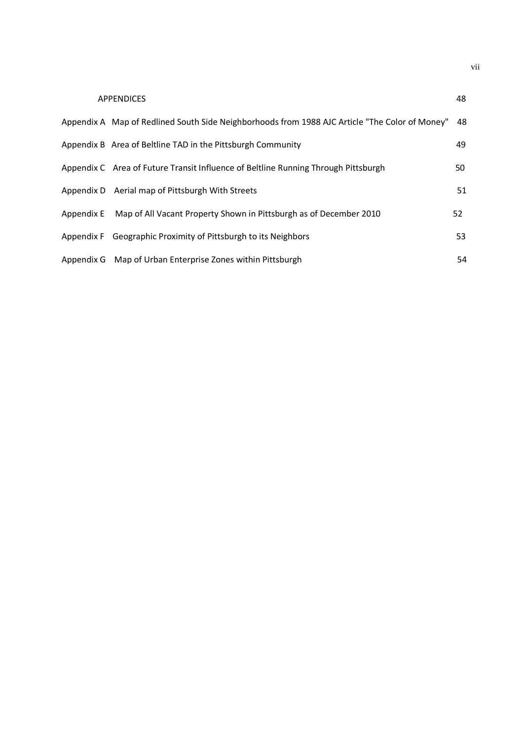| <b>APPENDICES</b>                                                                              | 48 |
|------------------------------------------------------------------------------------------------|----|
| "Appendix A Map of Redlined South Side Neighborhoods from 1988 AJC Article "The Color of Money | 48 |
| Appendix B Area of Beltline TAD in the Pittsburgh Community                                    | 49 |
| Appendix C Area of Future Transit Influence of Beltline Running Through Pittsburgh             | 50 |
| Appendix D Aerial map of Pittsburgh With Streets                                               | 51 |
| Appendix E Map of All Vacant Property Shown in Pittsburgh as of December 2010                  | 52 |
| Appendix F Geographic Proximity of Pittsburgh to its Neighbors                                 | 53 |
| Appendix G Map of Urban Enterprise Zones within Pittsburgh                                     | 54 |

vii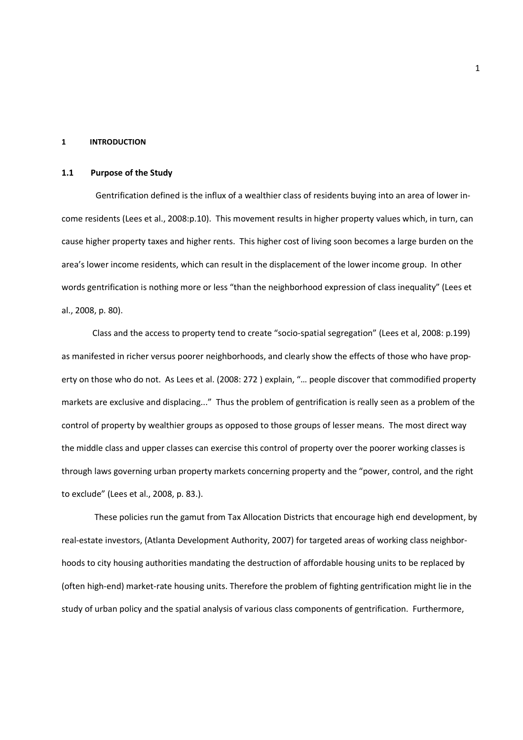### **1 INTRODUCTION**

### **1.1 Purpose of the Study**

 Gentrification defined is the influx of a wealthier class of residents buying into an area of lower income residents (Lees et al., 2008:p.10). This movement results in higher property values which, in turn, can cause higher property taxes and higher rents. This higher cost of living soon becomes a large burden on the area's lower income residents, which can result in the displacement of the lower income group. In other words gentrification is nothing more or less "than the neighborhood expression of class inequality" (Lees et al., 2008, p. 80).

Class and the access to property tend to create "socio-spatial segregation" (Lees et al, 2008: p.199) as manifested in richer versus poorer neighborhoods, and clearly show the effects of those who have property on those who do not. As Lees et al. (2008: 272 ) explain, "… people discover that commodified property markets are exclusive and displacing..." Thus the problem of gentrification is really seen as a problem of the control of property by wealthier groups as opposed to those groups of lesser means. The most direct way the middle class and upper classes can exercise this control of property over the poorer working classes is through laws governing urban property markets concerning property and the "power, control, and the right to exclude" (Lees et al., 2008, p. 83.).

 These policies run the gamut from Tax Allocation Districts that encourage high end development, by real-estate investors, (Atlanta Development Authority, 2007) for targeted areas of working class neighborhoods to city housing authorities mandating the destruction of affordable housing units to be replaced by (often high-end) market-rate housing units. Therefore the problem of fighting gentrification might lie in the study of urban policy and the spatial analysis of various class components of gentrification. Furthermore,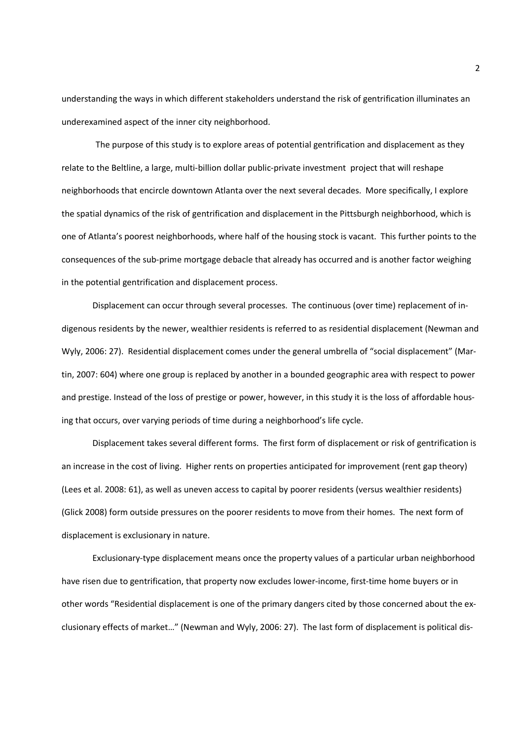understanding the ways in which different stakeholders understand the risk of gentrification illuminates an underexamined aspect of the inner city neighborhood.

 The purpose of this study is to explore areas of potential gentrification and displacement as they relate to the Beltline, a large, multi-billion dollar public-private investment project that will reshape neighborhoods that encircle downtown Atlanta over the next several decades. More specifically, I explore the spatial dynamics of the risk of gentrification and displacement in the Pittsburgh neighborhood, which is one of Atlanta's poorest neighborhoods, where half of the housing stock is vacant. This further points to the consequences of the sub-prime mortgage debacle that already has occurred and is another factor weighing in the potential gentrification and displacement process.

Displacement can occur through several processes. The continuous (over time) replacement of indigenous residents by the newer, wealthier residents is referred to as residential displacement (Newman and Wyly, 2006: 27). Residential displacement comes under the general umbrella of "social displacement" (Martin, 2007: 604) where one group is replaced by another in a bounded geographic area with respect to power and prestige. Instead of the loss of prestige or power, however, in this study it is the loss of affordable housing that occurs, over varying periods of time during a neighborhood's life cycle.

Displacement takes several different forms. The first form of displacement or risk of gentrification is an increase in the cost of living. Higher rents on properties anticipated for improvement (rent gap theory) (Lees et al. 2008: 61), as well as uneven access to capital by poorer residents (versus wealthier residents) (Glick 2008) form outside pressures on the poorer residents to move from their homes. The next form of displacement is exclusionary in nature.

Exclusionary-type displacement means once the property values of a particular urban neighborhood have risen due to gentrification, that property now excludes lower-income, first-time home buyers or in other words "Residential displacement is one of the primary dangers cited by those concerned about the exclusionary effects of market…" (Newman and Wyly, 2006: 27). The last form of displacement is political dis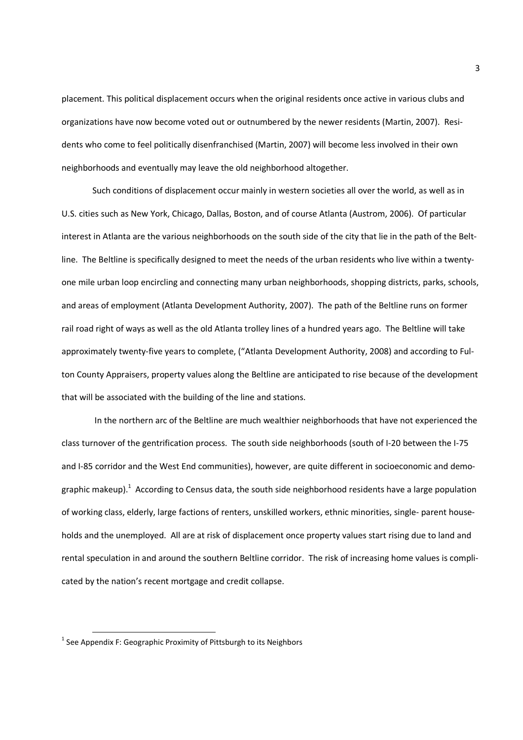placement. This political displacement occurs when the original residents once active in various clubs and organizations have now become voted out or outnumbered by the newer residents (Martin, 2007). Residents who come to feel politically disenfranchised (Martin, 2007) will become less involved in their own neighborhoods and eventually may leave the old neighborhood altogether.

Such conditions of displacement occur mainly in western societies all over the world, as well as in U.S. cities such as New York, Chicago, Dallas, Boston, and of course Atlanta (Austrom, 2006). Of particular interest in Atlanta are the various neighborhoods on the south side of the city that lie in the path of the Beltline. The Beltline is specifically designed to meet the needs of the urban residents who live within a twentyone mile urban loop encircling and connecting many urban neighborhoods, shopping districts, parks, schools, and areas of employment (Atlanta Development Authority, 2007). The path of the Beltline runs on former rail road right of ways as well as the old Atlanta trolley lines of a hundred years ago. The Beltline will take approximately twenty-five years to complete, ("Atlanta Development Authority, 2008) and according to Fulton County Appraisers, property values along the Beltline are anticipated to rise because of the development that will be associated with the building of the line and stations.

 In the northern arc of the Beltline are much wealthier neighborhoods that have not experienced the class turnover of the gentrification process. The south side neighborhoods (south of I-20 between the I-75 and I-85 corridor and the West End communities), however, are quite different in socioeconomic and demographic makeup).<sup>1</sup> According to Census data, the south side neighborhood residents have a large population of working class, elderly, large factions of renters, unskilled workers, ethnic minorities, single- parent households and the unemployed. All are at risk of displacement once property values start rising due to land and rental speculation in and around the southern Beltline corridor. The risk of increasing home values is complicated by the nation's recent mortgage and credit collapse.

 $\overline{\phantom{0}}$ 

 $^1$  See Appendix F: Geographic Proximity of Pittsburgh to its Neighbors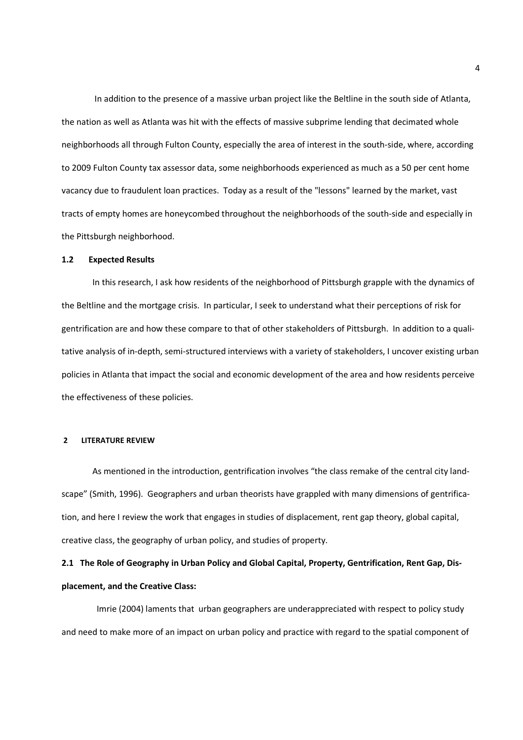In addition to the presence of a massive urban project like the Beltline in the south side of Atlanta, the nation as well as Atlanta was hit with the effects of massive subprime lending that decimated whole neighborhoods all through Fulton County, especially the area of interest in the south-side, where, according to 2009 Fulton County tax assessor data, some neighborhoods experienced as much as a 50 per cent home vacancy due to fraudulent loan practices. Today as a result of the "lessons" learned by the market, vast tracts of empty homes are honeycombed throughout the neighborhoods of the south-side and especially in the Pittsburgh neighborhood.

### **1.2 Expected Results**

In this research, I ask how residents of the neighborhood of Pittsburgh grapple with the dynamics of the Beltline and the mortgage crisis. In particular, I seek to understand what their perceptions of risk for gentrification are and how these compare to that of other stakeholders of Pittsburgh. In addition to a qualitative analysis of in-depth, semi-structured interviews with a variety of stakeholders, I uncover existing urban policies in Atlanta that impact the social and economic development of the area and how residents perceive the effectiveness of these policies.

### **2 LITERATURE REVIEW**

As mentioned in the introduction, gentrification involves "the class remake of the central city landscape" (Smith, 1996). Geographers and urban theorists have grappled with many dimensions of gentrification, and here I review the work that engages in studies of displacement, rent gap theory, global capital, creative class, the geography of urban policy, and studies of property.

## **2.1 The Role of Geography in Urban Policy and Global Capital, Property, Gentrification, Rent Gap, Displacement, and the Creative Class:**

Imrie (2004) laments that urban geographers are underappreciated with respect to policy study and need to make more of an impact on urban policy and practice with regard to the spatial component of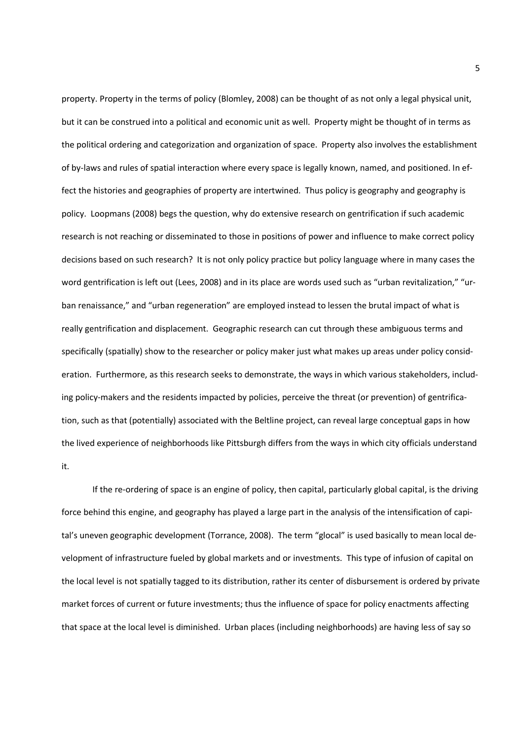property. Property in the terms of policy (Blomley, 2008) can be thought of as not only a legal physical unit, but it can be construed into a political and economic unit as well. Property might be thought of in terms as the political ordering and categorization and organization of space. Property also involves the establishment of by-laws and rules of spatial interaction where every space is legally known, named, and positioned. In effect the histories and geographies of property are intertwined. Thus policy is geography and geography is policy. Loopmans (2008) begs the question, why do extensive research on gentrification if such academic research is not reaching or disseminated to those in positions of power and influence to make correct policy decisions based on such research? It is not only policy practice but policy language where in many cases the word gentrification is left out (Lees, 2008) and in its place are words used such as "urban revitalization," "urban renaissance," and "urban regeneration" are employed instead to lessen the brutal impact of what is really gentrification and displacement. Geographic research can cut through these ambiguous terms and specifically (spatially) show to the researcher or policy maker just what makes up areas under policy consideration. Furthermore, as this research seeks to demonstrate, the ways in which various stakeholders, including policy-makers and the residents impacted by policies, perceive the threat (or prevention) of gentrification, such as that (potentially) associated with the Beltline project, can reveal large conceptual gaps in how the lived experience of neighborhoods like Pittsburgh differs from the ways in which city officials understand it.

If the re-ordering of space is an engine of policy, then capital, particularly global capital, is the driving force behind this engine, and geography has played a large part in the analysis of the intensification of capital's uneven geographic development (Torrance, 2008). The term "glocal" is used basically to mean local development of infrastructure fueled by global markets and or investments. This type of infusion of capital on the local level is not spatially tagged to its distribution, rather its center of disbursement is ordered by private market forces of current or future investments; thus the influence of space for policy enactments affecting that space at the local level is diminished. Urban places (including neighborhoods) are having less of say so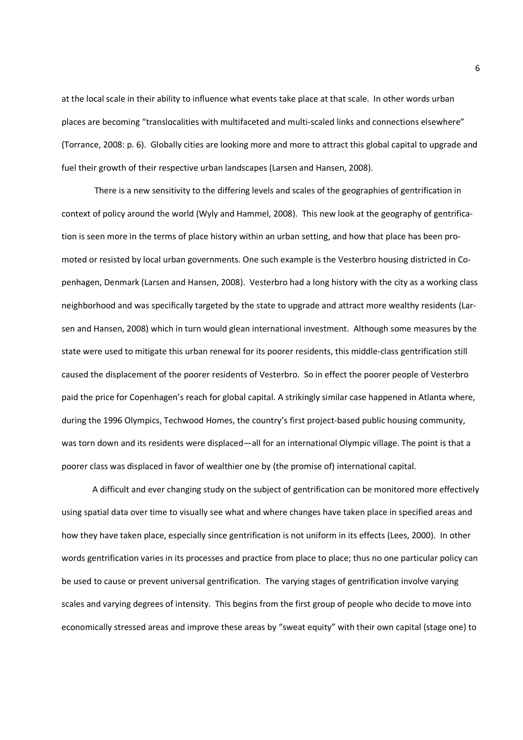at the local scale in their ability to influence what events take place at that scale. In other words urban places are becoming "translocalities with multifaceted and multi-scaled links and connections elsewhere" (Torrance, 2008: p. 6). Globally cities are looking more and more to attract this global capital to upgrade and fuel their growth of their respective urban landscapes (Larsen and Hansen, 2008).

 There is a new sensitivity to the differing levels and scales of the geographies of gentrification in context of policy around the world (Wyly and Hammel, 2008). This new look at the geography of gentrification is seen more in the terms of place history within an urban setting, and how that place has been promoted or resisted by local urban governments. One such example is the Vesterbro housing districted in Copenhagen, Denmark (Larsen and Hansen, 2008). Vesterbro had a long history with the city as a working class neighborhood and was specifically targeted by the state to upgrade and attract more wealthy residents (Larsen and Hansen, 2008) which in turn would glean international investment. Although some measures by the state were used to mitigate this urban renewal for its poorer residents, this middle-class gentrification still caused the displacement of the poorer residents of Vesterbro. So in effect the poorer people of Vesterbro paid the price for Copenhagen's reach for global capital. A strikingly similar case happened in Atlanta where, during the 1996 Olympics, Techwood Homes, the country's first project-based public housing community, was torn down and its residents were displaced—all for an international Olympic village. The point is that a poorer class was displaced in favor of wealthier one by (the promise of) international capital.

A difficult and ever changing study on the subject of gentrification can be monitored more effectively using spatial data over time to visually see what and where changes have taken place in specified areas and how they have taken place, especially since gentrification is not uniform in its effects (Lees, 2000). In other words gentrification varies in its processes and practice from place to place; thus no one particular policy can be used to cause or prevent universal gentrification. The varying stages of gentrification involve varying scales and varying degrees of intensity. This begins from the first group of people who decide to move into economically stressed areas and improve these areas by "sweat equity" with their own capital (stage one) to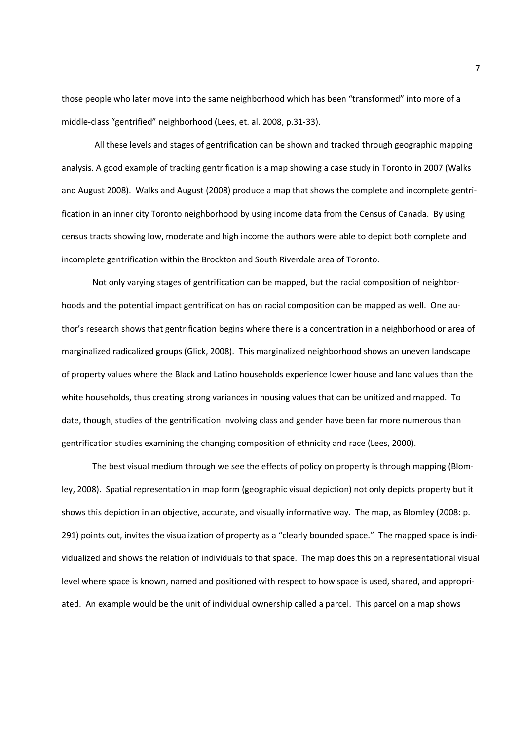those people who later move into the same neighborhood which has been "transformed" into more of a middle-class "gentrified" neighborhood (Lees, et. al. 2008, p.31-33).

 All these levels and stages of gentrification can be shown and tracked through geographic mapping analysis. A good example of tracking gentrification is a map showing a case study in Toronto in 2007 (Walks and August 2008). Walks and August (2008) produce a map that shows the complete and incomplete gentrification in an inner city Toronto neighborhood by using income data from the Census of Canada. By using census tracts showing low, moderate and high income the authors were able to depict both complete and incomplete gentrification within the Brockton and South Riverdale area of Toronto.

Not only varying stages of gentrification can be mapped, but the racial composition of neighborhoods and the potential impact gentrification has on racial composition can be mapped as well. One author's research shows that gentrification begins where there is a concentration in a neighborhood or area of marginalized radicalized groups (Glick, 2008). This marginalized neighborhood shows an uneven landscape of property values where the Black and Latino households experience lower house and land values than the white households, thus creating strong variances in housing values that can be unitized and mapped. To date, though, studies of the gentrification involving class and gender have been far more numerous than gentrification studies examining the changing composition of ethnicity and race (Lees, 2000).

The best visual medium through we see the effects of policy on property is through mapping (Blomley, 2008). Spatial representation in map form (geographic visual depiction) not only depicts property but it shows this depiction in an objective, accurate, and visually informative way. The map, as Blomley (2008: p. 291) points out, invites the visualization of property as a "clearly bounded space." The mapped space is individualized and shows the relation of individuals to that space. The map does this on a representational visual level where space is known, named and positioned with respect to how space is used, shared, and appropriated. An example would be the unit of individual ownership called a parcel. This parcel on a map shows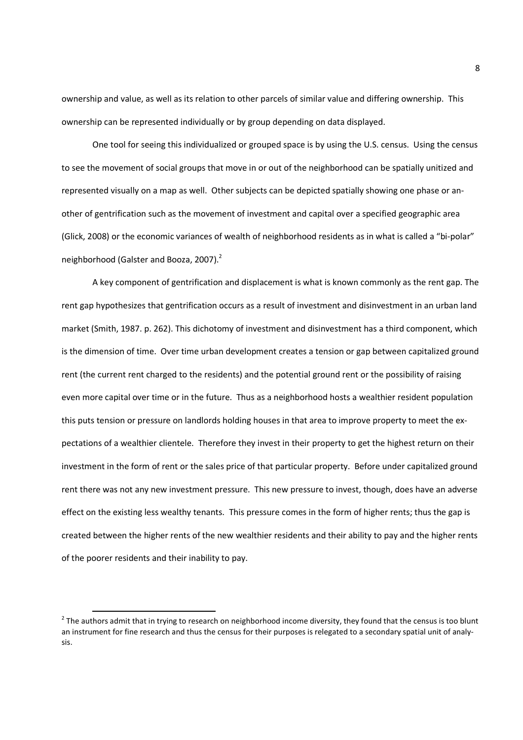ownership and value, as well as its relation to other parcels of similar value and differing ownership. This ownership can be represented individually or by group depending on data displayed.

One tool for seeing this individualized or grouped space is by using the U.S. census. Using the census to see the movement of social groups that move in or out of the neighborhood can be spatially unitized and represented visually on a map as well. Other subjects can be depicted spatially showing one phase or another of gentrification such as the movement of investment and capital over a specified geographic area (Glick, 2008) or the economic variances of wealth of neighborhood residents as in what is called a "bi-polar" neighborhood (Galster and Booza, 2007). $2$ 

A key component of gentrification and displacement is what is known commonly as the rent gap. The rent gap hypothesizes that gentrification occurs as a result of investment and disinvestment in an urban land market (Smith, 1987. p. 262). This dichotomy of investment and disinvestment has a third component, which is the dimension of time. Over time urban development creates a tension or gap between capitalized ground rent (the current rent charged to the residents) and the potential ground rent or the possibility of raising even more capital over time or in the future. Thus as a neighborhood hosts a wealthier resident population this puts tension or pressure on landlords holding houses in that area to improve property to meet the expectations of a wealthier clientele. Therefore they invest in their property to get the highest return on their investment in the form of rent or the sales price of that particular property. Before under capitalized ground rent there was not any new investment pressure. This new pressure to invest, though, does have an adverse effect on the existing less wealthy tenants. This pressure comes in the form of higher rents; thus the gap is created between the higher rents of the new wealthier residents and their ability to pay and the higher rents of the poorer residents and their inability to pay.

 $\overline{a}$ 

 $2$  The authors admit that in trying to research on neighborhood income diversity, they found that the census is too blunt an instrument for fine research and thus the census for their purposes is relegated to a secondary spatial unit of analysis.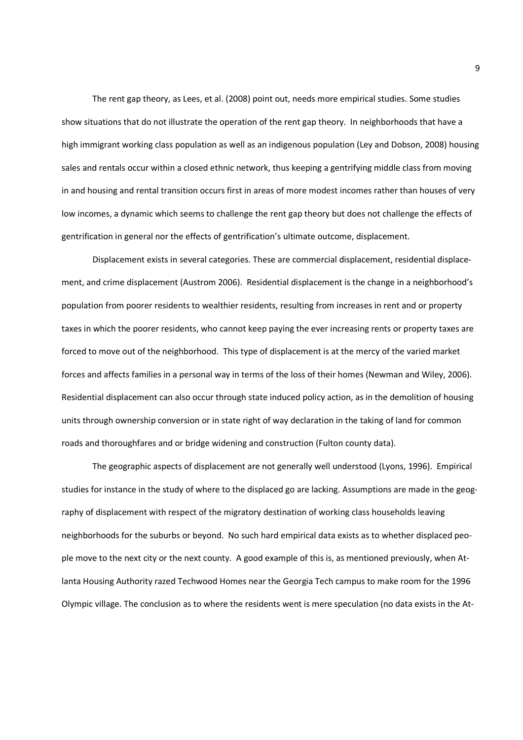The rent gap theory, as Lees, et al. (2008) point out, needs more empirical studies. Some studies show situations that do not illustrate the operation of the rent gap theory. In neighborhoods that have a high immigrant working class population as well as an indigenous population (Ley and Dobson, 2008) housing sales and rentals occur within a closed ethnic network, thus keeping a gentrifying middle class from moving in and housing and rental transition occurs first in areas of more modest incomes rather than houses of very low incomes, a dynamic which seems to challenge the rent gap theory but does not challenge the effects of gentrification in general nor the effects of gentrification's ultimate outcome, displacement.

Displacement exists in several categories. These are commercial displacement, residential displacement, and crime displacement (Austrom 2006). Residential displacement is the change in a neighborhood's population from poorer residents to wealthier residents, resulting from increases in rent and or property taxes in which the poorer residents, who cannot keep paying the ever increasing rents or property taxes are forced to move out of the neighborhood. This type of displacement is at the mercy of the varied market forces and affects families in a personal way in terms of the loss of their homes (Newman and Wiley, 2006). Residential displacement can also occur through state induced policy action, as in the demolition of housing units through ownership conversion or in state right of way declaration in the taking of land for common roads and thoroughfares and or bridge widening and construction (Fulton county data).

The geographic aspects of displacement are not generally well understood (Lyons, 1996). Empirical studies for instance in the study of where to the displaced go are lacking. Assumptions are made in the geography of displacement with respect of the migratory destination of working class households leaving neighborhoods for the suburbs or beyond. No such hard empirical data exists as to whether displaced people move to the next city or the next county. A good example of this is, as mentioned previously, when Atlanta Housing Authority razed Techwood Homes near the Georgia Tech campus to make room for the 1996 Olympic village. The conclusion as to where the residents went is mere speculation (no data exists in the At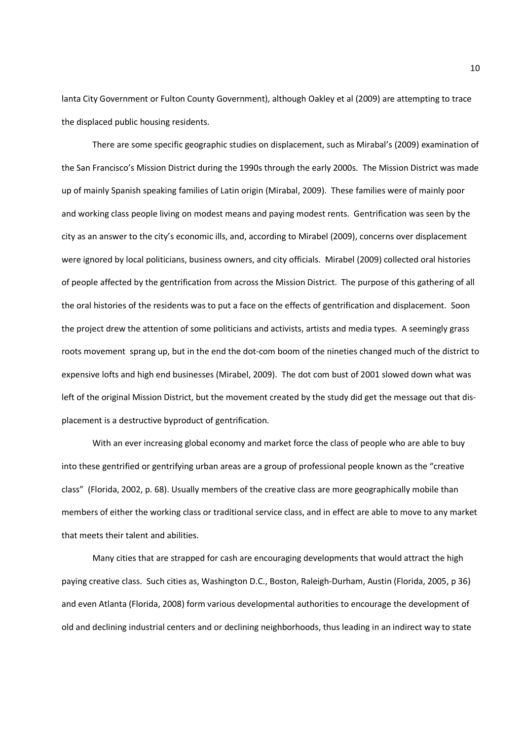lanta City Government or Fulton County Government), although Oakley et al (2009) are attempting to trace the displaced public housing residents.

There are some specific geographic studies on displacement, such as Mirabal's (2009) examination of the San Francisco's Mission District during the 1990s through the early 2000s. The Mission District was made up of mainly Spanish speaking families of Latin origin (Mirabal, 2009). These families were of mainly poor and working class people living on modest means and paying modest rents. Gentrification was seen by the city as an answer to the city's economic ills, and, according to Mirabel (2009), concerns over displacement were ignored by local politicians, business owners, and city officials. Mirabel (2009) collected oral histories of people affected by the gentrification from across the Mission District. The purpose of this gathering of all the oral histories of the residents was to put a face on the effects of gentrification and displacement. Soon the project drew the attention of some politicians and activists, artists and media types. A seemingly grass roots movement sprang up, but in the end the dot-com boom of the nineties changed much of the district to expensive lofts and high end businesses (Mirabel, 2009). The dot com bust of 2001 slowed down what was left of the original Mission District, but the movement created by the study did get the message out that displacement is a destructive byproduct of gentrification.

With an ever increasing global economy and market force the class of people who are able to buy into these gentrified or gentrifying urban areas are a group of professional people known as the "creative class" (Florida, 2002, p. 68). Usually members of the creative class are more geographically mobile than members of either the working class or traditional service class, and in effect are able to move to any market that meets their talent and abilities.

Many cities that are strapped for cash are encouraging developments that would attract the high paying creative class. Such cities as, Washington D.C., Boston, Raleigh-Durham, Austin (Florida, 2005, p 36) and even Atlanta (Florida, 2008) form various developmental authorities to encourage the development of old and declining industrial centers and or declining neighborhoods, thus leading in an indirect way to state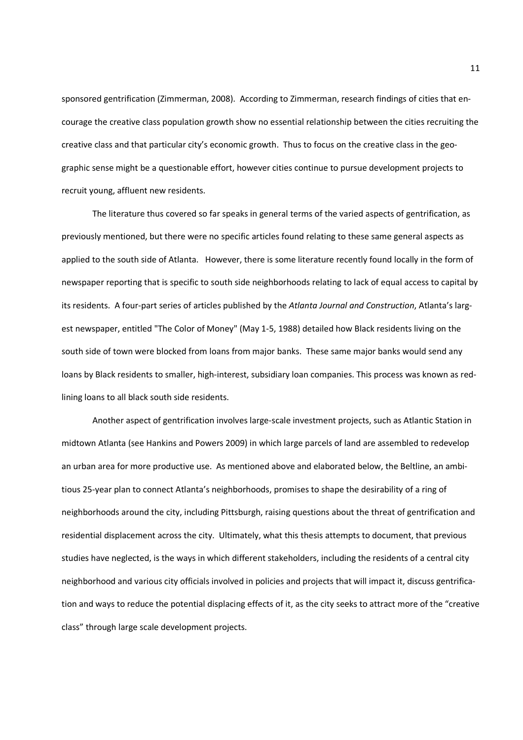sponsored gentrification (Zimmerman, 2008). According to Zimmerman, research findings of cities that encourage the creative class population growth show no essential relationship between the cities recruiting the creative class and that particular city's economic growth. Thus to focus on the creative class in the geographic sense might be a questionable effort, however cities continue to pursue development projects to recruit young, affluent new residents.

The literature thus covered so far speaks in general terms of the varied aspects of gentrification, as previously mentioned, but there were no specific articles found relating to these same general aspects as applied to the south side of Atlanta. However, there is some literature recently found locally in the form of newspaper reporting that is specific to south side neighborhoods relating to lack of equal access to capital by its residents. A four-part series of articles published by the *Atlanta Journal and Construction*, Atlanta's largest newspaper, entitled "The Color of Money" (May 1-5, 1988) detailed how Black residents living on the south side of town were blocked from loans from major banks. These same major banks would send any loans by Black residents to smaller, high-interest, subsidiary loan companies. This process was known as redlining loans to all black south side residents.

Another aspect of gentrification involves large-scale investment projects, such as Atlantic Station in midtown Atlanta (see Hankins and Powers 2009) in which large parcels of land are assembled to redevelop an urban area for more productive use. As mentioned above and elaborated below, the Beltline, an ambitious 25-year plan to connect Atlanta's neighborhoods, promises to shape the desirability of a ring of neighborhoods around the city, including Pittsburgh, raising questions about the threat of gentrification and residential displacement across the city. Ultimately, what this thesis attempts to document, that previous studies have neglected, is the ways in which different stakeholders, including the residents of a central city neighborhood and various city officials involved in policies and projects that will impact it, discuss gentrification and ways to reduce the potential displacing effects of it, as the city seeks to attract more of the "creative class" through large scale development projects.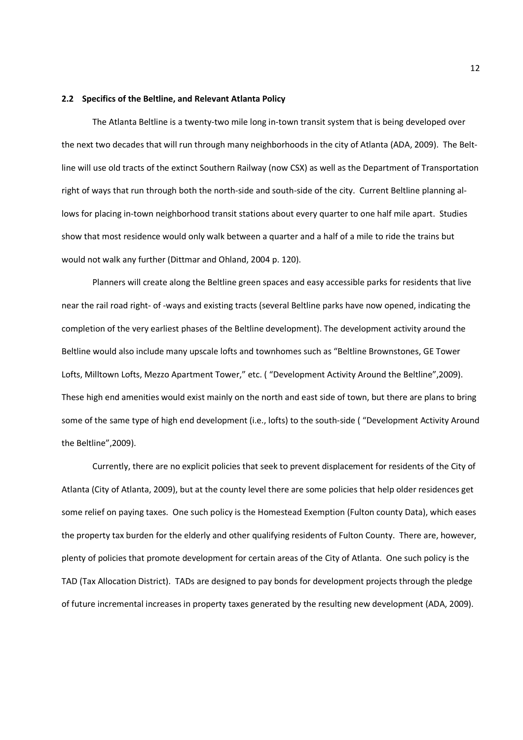### **2.2 Specifics of the Beltline, and Relevant Atlanta Policy**

The Atlanta Beltline is a twenty-two mile long in-town transit system that is being developed over the next two decades that will run through many neighborhoods in the city of Atlanta (ADA, 2009). The Beltline will use old tracts of the extinct Southern Railway (now CSX) as well as the Department of Transportation right of ways that run through both the north-side and south-side of the city. Current Beltline planning allows for placing in-town neighborhood transit stations about every quarter to one half mile apart. Studies show that most residence would only walk between a quarter and a half of a mile to ride the trains but would not walk any further (Dittmar and Ohland, 2004 p. 120).

Planners will create along the Beltline green spaces and easy accessible parks for residents that live near the rail road right- of -ways and existing tracts (several Beltline parks have now opened, indicating the completion of the very earliest phases of the Beltline development). The development activity around the Beltline would also include many upscale lofts and townhomes such as "Beltline Brownstones, GE Tower Lofts, Milltown Lofts, Mezzo Apartment Tower," etc. ( "Development Activity Around the Beltline",2009). These high end amenities would exist mainly on the north and east side of town, but there are plans to bring some of the same type of high end development (i.e., lofts) to the south-side ( "Development Activity Around the Beltline",2009).

Currently, there are no explicit policies that seek to prevent displacement for residents of the City of Atlanta (City of Atlanta, 2009), but at the county level there are some policies that help older residences get some relief on paying taxes. One such policy is the Homestead Exemption (Fulton county Data), which eases the property tax burden for the elderly and other qualifying residents of Fulton County. There are, however, plenty of policies that promote development for certain areas of the City of Atlanta. One such policy is the TAD (Tax Allocation District). TADs are designed to pay bonds for development projects through the pledge of future incremental increases in property taxes generated by the resulting new development (ADA, 2009).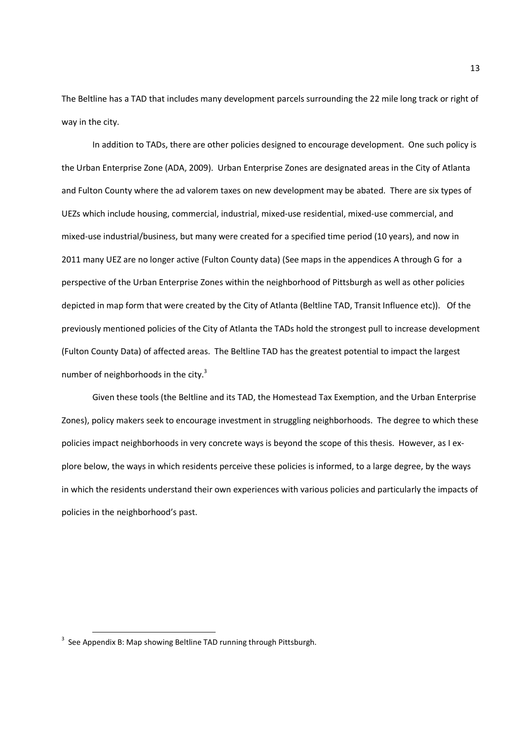The Beltline has a TAD that includes many development parcels surrounding the 22 mile long track or right of way in the city.

In addition to TADs, there are other policies designed to encourage development. One such policy is the Urban Enterprise Zone (ADA, 2009). Urban Enterprise Zones are designated areas in the City of Atlanta and Fulton County where the ad valorem taxes on new development may be abated. There are six types of UEZs which include housing, commercial, industrial, mixed-use residential, mixed-use commercial, and mixed-use industrial/business, but many were created for a specified time period (10 years), and now in 2011 many UEZ are no longer active (Fulton County data) (See maps in the appendices A through G for a perspective of the Urban Enterprise Zones within the neighborhood of Pittsburgh as well as other policies depicted in map form that were created by the City of Atlanta (Beltline TAD, Transit Influence etc)). Of the previously mentioned policies of the City of Atlanta the TADs hold the strongest pull to increase development (Fulton County Data) of affected areas. The Beltline TAD has the greatest potential to impact the largest number of neighborhoods in the city.<sup>3</sup>

Given these tools (the Beltline and its TAD, the Homestead Tax Exemption, and the Urban Enterprise Zones), policy makers seek to encourage investment in struggling neighborhoods. The degree to which these policies impact neighborhoods in very concrete ways is beyond the scope of this thesis. However, as I explore below, the ways in which residents perceive these policies is informed, to a large degree, by the ways in which the residents understand their own experiences with various policies and particularly the impacts of policies in the neighborhood's past.

 $\overline{\phantom{0}}$ 

 $3$  See Appendix B: Map showing Beltline TAD running through Pittsburgh.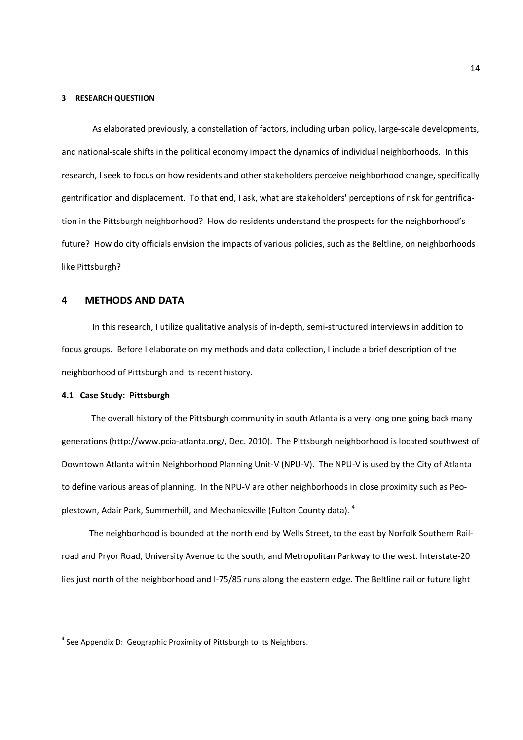#### **3 RESEARCH QUESTIION**

As elaborated previously, a constellation of factors, including urban policy, large-scale developments, and national-scale shifts in the political economy impact the dynamics of individual neighborhoods. In this research, I seek to focus on how residents and other stakeholders perceive neighborhood change, specifically gentrification and displacement. To that end, I ask, what are stakeholders' perceptions of risk for gentrification in the Pittsburgh neighborhood? How do residents understand the prospects for the neighborhood's future? How do city officials envision the impacts of various policies, such as the Beltline, on neighborhoods like Pittsburgh?

### **4 METHODS AND DATA**

In this research, I utilize qualitative analysis of in-depth, semi-structured interviews in addition to focus groups. Before I elaborate on my methods and data collection, I include a brief description of the neighborhood of Pittsburgh and its recent history.

### **4.1 Case Study: Pittsburgh**

 $\overline{\phantom{0}}$ 

 The overall history of the Pittsburgh community in south Atlanta is a very long one going back many generations (http://www.pcia-atlanta.org/, Dec. 2010). The Pittsburgh neighborhood is located southwest of Downtown Atlanta within Neighborhood Planning Unit-V (NPU-V). The NPU-V is used by the City of Atlanta to define various areas of planning. In the NPU-V are other neighborhoods in close proximity such as Peoplestown, Adair Park, Summerhill, and Mechanicsville (Fulton County data).  $^4$ 

 The neighborhood is bounded at the north end by Wells Street, to the east by Norfolk Southern Railroad and Pryor Road, University Avenue to the south, and Metropolitan Parkway to the west. Interstate-20 lies just north of the neighborhood and I-75/85 runs along the eastern edge. The Beltline rail or future light

 $<sup>4</sup>$  See Appendix D: Geographic Proximity of Pittsburgh to Its Neighbors.</sup>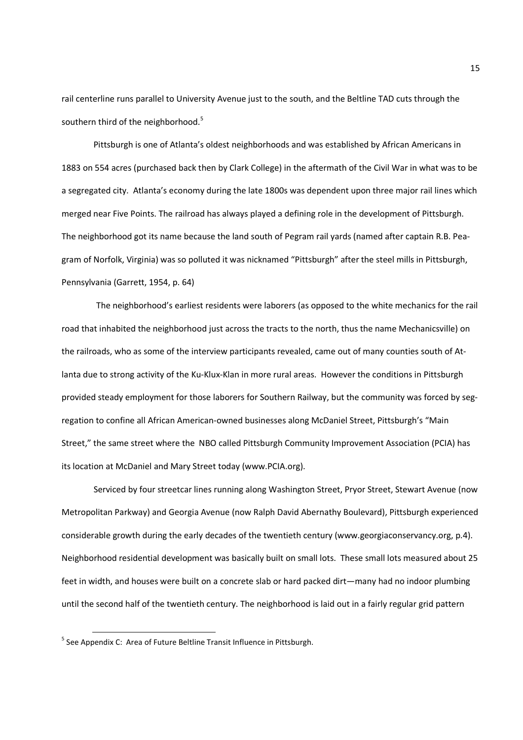rail centerline runs parallel to University Avenue just to the south, and the Beltline TAD cuts through the southern third of the neighborhood.<sup>5</sup>

 Pittsburgh is one of Atlanta's oldest neighborhoods and was established by African Americans in 1883 on 554 acres (purchased back then by Clark College) in the aftermath of the Civil War in what was to be a segregated city. Atlanta's economy during the late 1800s was dependent upon three major rail lines which merged near Five Points. The railroad has always played a defining role in the development of Pittsburgh. The neighborhood got its name because the land south of Pegram rail yards (named after captain R.B. Peagram of Norfolk, Virginia) was so polluted it was nicknamed "Pittsburgh" after the steel mills in Pittsburgh, Pennsylvania (Garrett, 1954, p. 64)

 The neighborhood's earliest residents were laborers (as opposed to the white mechanics for the rail road that inhabited the neighborhood just across the tracts to the north, thus the name Mechanicsville) on the railroads, who as some of the interview participants revealed, came out of many counties south of Atlanta due to strong activity of the Ku-Klux-Klan in more rural areas. However the conditions in Pittsburgh provided steady employment for those laborers for Southern Railway, but the community was forced by segregation to confine all African American-owned businesses along McDaniel Street, Pittsburgh's "Main Street," the same street where the NBO called Pittsburgh Community Improvement Association (PCIA) has its location at McDaniel and Mary Street today (www.PCIA.org).

 Serviced by four streetcar lines running along Washington Street, Pryor Street, Stewart Avenue (now Metropolitan Parkway) and Georgia Avenue (now Ralph David Abernathy Boulevard), Pittsburgh experienced considerable growth during the early decades of the twentieth century (www.georgiaconservancy.org, p.4). Neighborhood residential development was basically built on small lots. These small lots measured about 25 feet in width, and houses were built on a concrete slab or hard packed dirt—many had no indoor plumbing until the second half of the twentieth century. The neighborhood is laid out in a fairly regular grid pattern

 $\overline{\phantom{0}}$ 

<sup>&</sup>lt;sup>5</sup> See Appendix C: Area of Future Beltline Transit Influence in Pittsburgh.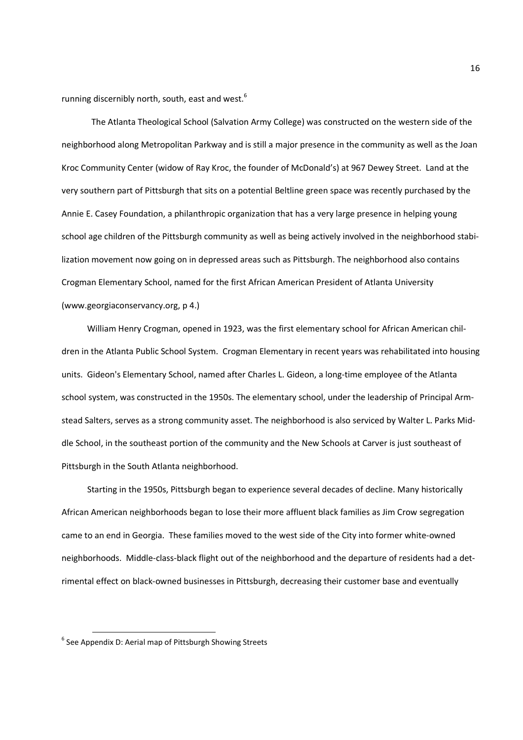running discernibly north, south, east and west.<sup>6</sup>

 The Atlanta Theological School (Salvation Army College) was constructed on the western side of the neighborhood along Metropolitan Parkway and is still a major presence in the community as well as the Joan Kroc Community Center (widow of Ray Kroc, the founder of McDonald's) at 967 Dewey Street. Land at the very southern part of Pittsburgh that sits on a potential Beltline green space was recently purchased by the Annie E. Casey Foundation, a philanthropic organization that has a very large presence in helping young school age children of the Pittsburgh community as well as being actively involved in the neighborhood stabilization movement now going on in depressed areas such as Pittsburgh. The neighborhood also contains Crogman Elementary School, named for the first African American President of Atlanta University (www.georgiaconservancy.org, p 4.)

 William Henry Crogman, opened in 1923, was the first elementary school for African American children in the Atlanta Public School System. Crogman Elementary in recent years was rehabilitated into housing units. Gideon's Elementary School, named after Charles L. Gideon, a long-time employee of the Atlanta school system, was constructed in the 1950s. The elementary school, under the leadership of Principal Armstead Salters, serves as a strong community asset. The neighborhood is also serviced by Walter L. Parks Middle School, in the southeast portion of the community and the New Schools at Carver is just southeast of Pittsburgh in the South Atlanta neighborhood.

 Starting in the 1950s, Pittsburgh began to experience several decades of decline. Many historically African American neighborhoods began to lose their more affluent black families as Jim Crow segregation came to an end in Georgia. These families moved to the west side of the City into former white-owned neighborhoods. Middle-class-black flight out of the neighborhood and the departure of residents had a detrimental effect on black-owned businesses in Pittsburgh, decreasing their customer base and eventually

 $\overline{\phantom{0}}$ 

<sup>&</sup>lt;sup>6</sup> See Appendix D: Aerial map of Pittsburgh Showing Streets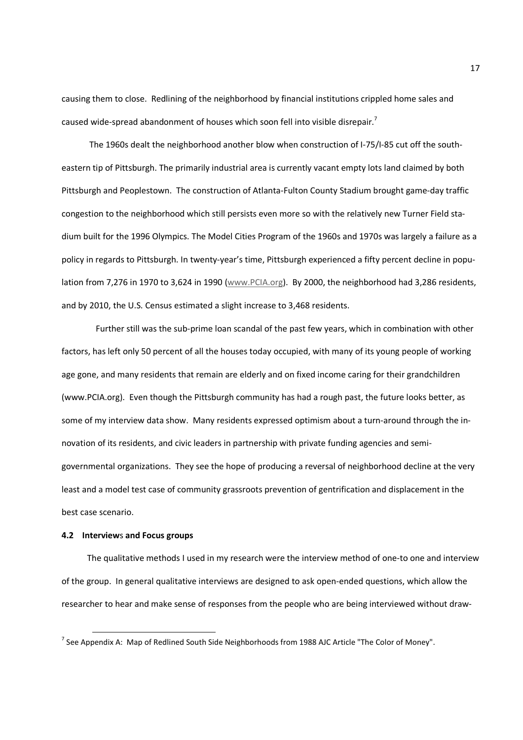causing them to close. Redlining of the neighborhood by financial institutions crippled home sales and caused wide-spread abandonment of houses which soon fell into visible disrepair.<sup>7</sup>

 The 1960s dealt the neighborhood another blow when construction of I-75/I-85 cut off the southeastern tip of Pittsburgh. The primarily industrial area is currently vacant empty lots land claimed by both Pittsburgh and Peoplestown. The construction of Atlanta-Fulton County Stadium brought game-day traffic congestion to the neighborhood which still persists even more so with the relatively new Turner Field stadium built for the 1996 Olympics. The Model Cities Program of the 1960s and 1970s was largely a failure as a policy in regards to Pittsburgh. In twenty-year's time, Pittsburgh experienced a fifty percent decline in population from 7,276 in 1970 to 3,624 in 1990 (www.PCIA.org). By 2000, the neighborhood had 3,286 residents, and by 2010, the U.S. Census estimated a slight increase to 3,468 residents.

 Further still was the sub-prime loan scandal of the past few years, which in combination with other factors, has left only 50 percent of all the houses today occupied, with many of its young people of working age gone, and many residents that remain are elderly and on fixed income caring for their grandchildren (www.PCIA.org). Even though the Pittsburgh community has had a rough past, the future looks better, as some of my interview data show. Many residents expressed optimism about a turn-around through the innovation of its residents, and civic leaders in partnership with private funding agencies and semigovernmental organizations. They see the hope of producing a reversal of neighborhood decline at the very least and a model test case of community grassroots prevention of gentrification and displacement in the best case scenario.

### **4.2 Interview**s **and Focus groups**

 $\overline{\phantom{0}}$ 

 The qualitative methods I used in my research were the interview method of one-to one and interview of the group. In general qualitative interviews are designed to ask open-ended questions, which allow the researcher to hear and make sense of responses from the people who are being interviewed without draw-

<sup>&</sup>lt;sup>7</sup> See Appendix A: Map of Redlined South Side Neighborhoods from 1988 AJC Article "The Color of Money".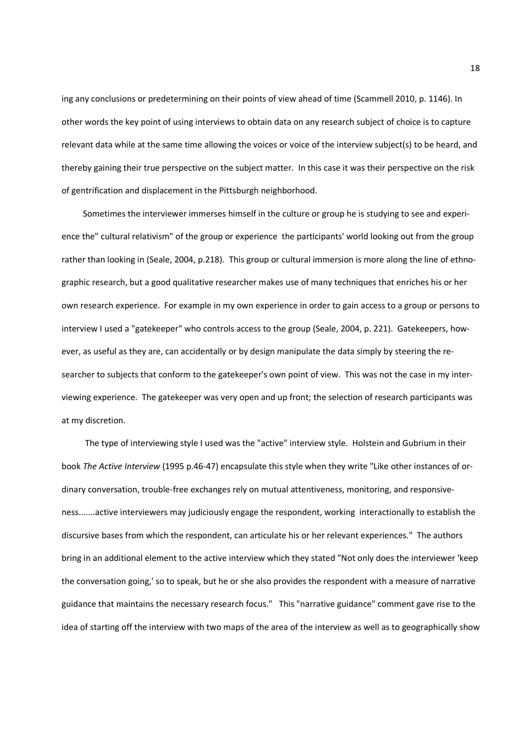ing any conclusions or predetermining on their points of view ahead of time (Scammell 2010, p. 1146). In other words the key point of using interviews to obtain data on any research subject of choice is to capture relevant data while at the same time allowing the voices or voice of the interview subject(s) to be heard, and thereby gaining their true perspective on the subject matter. In this case it was their perspective on the risk of gentrification and displacement in the Pittsburgh neighborhood.

 Sometimes the interviewer immerses himself in the culture or group he is studying to see and experience the" cultural relativism" of the group or experience the participants' world looking out from the group rather than looking in (Seale, 2004, p.218). This group or cultural immersion is more along the line of ethnographic research, but a good qualitative researcher makes use of many techniques that enriches his or her own research experience. For example in my own experience in order to gain access to a group or persons to interview I used a "gatekeeper" who controls access to the group (Seale, 2004, p. 221). Gatekeepers, however, as useful as they are, can accidentally or by design manipulate the data simply by steering the researcher to subjects that conform to the gatekeeper's own point of view. This was not the case in my interviewing experience. The gatekeeper was very open and up front; the selection of research participants was at my discretion.

 The type of interviewing style I used was the "active" interview style. Holstein and Gubrium in their book *The Active Interview* (1995 p.46-47) encapsulate this style when they write "Like other instances of ordinary conversation, trouble-free exchanges rely on mutual attentiveness, monitoring, and responsiveness.......active interviewers may judiciously engage the respondent, working interactionally to establish the discursive bases from which the respondent, can articulate his or her relevant experiences." The authors bring in an additional element to the active interview which they stated "Not only does the interviewer 'keep the conversation going,' so to speak, but he or she also provides the respondent with a measure of narrative guidance that maintains the necessary research focus." This "narrative guidance" comment gave rise to the idea of starting off the interview with two maps of the area of the interview as well as to geographically show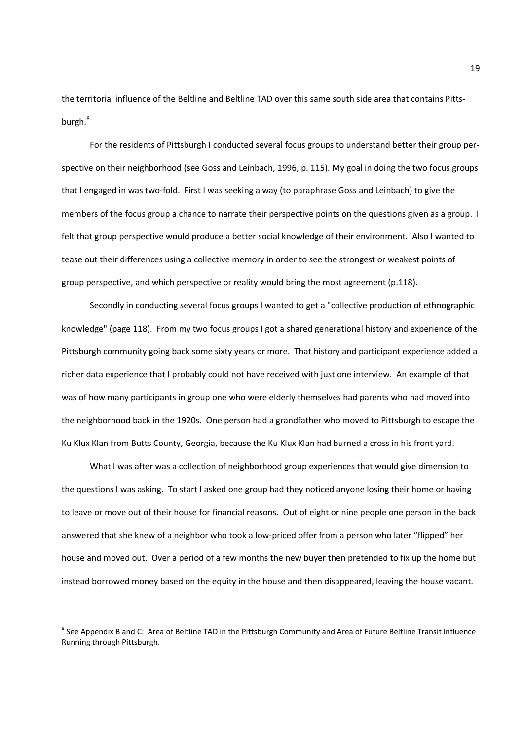the territorial influence of the Beltline and Beltline TAD over this same south side area that contains Pittsburgh.<sup>8</sup>

For the residents of Pittsburgh I conducted several focus groups to understand better their group perspective on their neighborhood (see Goss and Leinbach, 1996, p. 115). My goal in doing the two focus groups that I engaged in was two-fold. First I was seeking a way (to paraphrase Goss and Leinbach) to give the members of the focus group a chance to narrate their perspective points on the questions given as a group. I felt that group perspective would produce a better social knowledge of their environment. Also I wanted to tease out their differences using a collective memory in order to see the strongest or weakest points of group perspective, and which perspective or reality would bring the most agreement (p.118).

Secondly in conducting several focus groups I wanted to get a "collective production of ethnographic knowledge" (page 118). From my two focus groups I got a shared generational history and experience of the Pittsburgh community going back some sixty years or more. That history and participant experience added a richer data experience that I probably could not have received with just one interview. An example of that was of how many participants in group one who were elderly themselves had parents who had moved into the neighborhood back in the 1920s. One person had a grandfather who moved to Pittsburgh to escape the Ku Klux Klan from Butts County, Georgia, because the Ku Klux Klan had burned a cross in his front yard.

What I was after was a collection of neighborhood group experiences that would give dimension to the questions I was asking. To start I asked one group had they noticed anyone losing their home or having to leave or move out of their house for financial reasons. Out of eight or nine people one person in the back answered that she knew of a neighbor who took a low-priced offer from a person who later "flipped" her house and moved out. Over a period of a few months the new buyer then pretended to fix up the home but instead borrowed money based on the equity in the house and then disappeared, leaving the house vacant.

 $\overline{a}$ 

<sup>&</sup>lt;sup>8</sup> See Appendix B and C: Area of Beltline TAD in the Pittsburgh Community and Area of Future Beltline Transit Influence Running through Pittsburgh.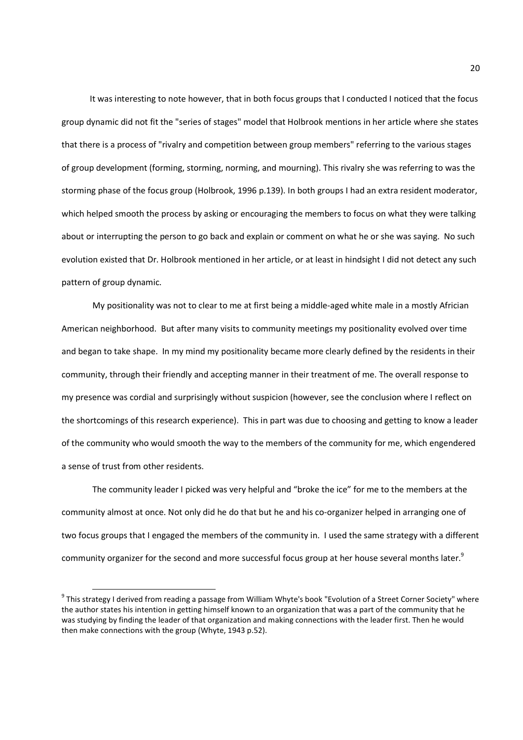It was interesting to note however, that in both focus groups that I conducted I noticed that the focus group dynamic did not fit the "series of stages" model that Holbrook mentions in her article where she states that there is a process of "rivalry and competition between group members" referring to the various stages of group development (forming, storming, norming, and mourning). This rivalry she was referring to was the storming phase of the focus group (Holbrook, 1996 p.139). In both groups I had an extra resident moderator, which helped smooth the process by asking or encouraging the members to focus on what they were talking about or interrupting the person to go back and explain or comment on what he or she was saying. No such evolution existed that Dr. Holbrook mentioned in her article, or at least in hindsight I did not detect any such pattern of group dynamic.

My positionality was not to clear to me at first being a middle-aged white male in a mostly Africian American neighborhood. But after many visits to community meetings my positionality evolved over time and began to take shape. In my mind my positionality became more clearly defined by the residents in their community, through their friendly and accepting manner in their treatment of me. The overall response to my presence was cordial and surprisingly without suspicion (however, see the conclusion where I reflect on the shortcomings of this research experience). This in part was due to choosing and getting to know a leader of the community who would smooth the way to the members of the community for me, which engendered a sense of trust from other residents.

The community leader I picked was very helpful and "broke the ice" for me to the members at the community almost at once. Not only did he do that but he and his co-organizer helped in arranging one of two focus groups that I engaged the members of the community in. I used the same strategy with a different community organizer for the second and more successful focus group at her house several months later.<sup>9</sup>

l

<sup>&</sup>lt;sup>9</sup> This strategy I derived from reading a passage from William Whyte's book "Evolution of a Street Corner Society" where the author states his intention in getting himself known to an organization that was a part of the community that he was studying by finding the leader of that organization and making connections with the leader first. Then he would then make connections with the group (Whyte, 1943 p.52).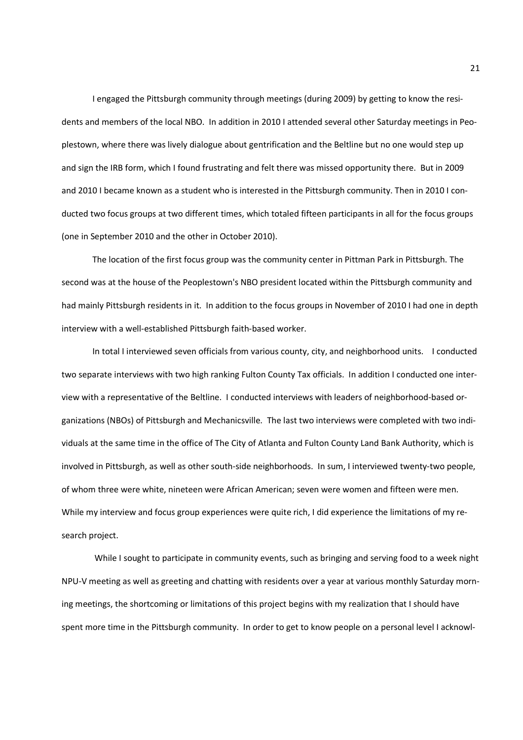I engaged the Pittsburgh community through meetings (during 2009) by getting to know the residents and members of the local NBO. In addition in 2010 I attended several other Saturday meetings in Peoplestown, where there was lively dialogue about gentrification and the Beltline but no one would step up and sign the IRB form, which I found frustrating and felt there was missed opportunity there. But in 2009 and 2010 I became known as a student who is interested in the Pittsburgh community. Then in 2010 I conducted two focus groups at two different times, which totaled fifteen participants in all for the focus groups (one in September 2010 and the other in October 2010).

The location of the first focus group was the community center in Pittman Park in Pittsburgh. The second was at the house of the Peoplestown's NBO president located within the Pittsburgh community and had mainly Pittsburgh residents in it. In addition to the focus groups in November of 2010 I had one in depth interview with a well-established Pittsburgh faith-based worker.

In total I interviewed seven officials from various county, city, and neighborhood units. I conducted two separate interviews with two high ranking Fulton County Tax officials. In addition I conducted one interview with a representative of the Beltline. I conducted interviews with leaders of neighborhood-based organizations (NBOs) of Pittsburgh and Mechanicsville. The last two interviews were completed with two individuals at the same time in the office of The City of Atlanta and Fulton County Land Bank Authority, which is involved in Pittsburgh, as well as other south-side neighborhoods. In sum, I interviewed twenty-two people, of whom three were white, nineteen were African American; seven were women and fifteen were men. While my interview and focus group experiences were quite rich, I did experience the limitations of my research project.

 While I sought to participate in community events, such as bringing and serving food to a week night NPU-V meeting as well as greeting and chatting with residents over a year at various monthly Saturday morning meetings, the shortcoming or limitations of this project begins with my realization that I should have spent more time in the Pittsburgh community. In order to get to know people on a personal level I acknowl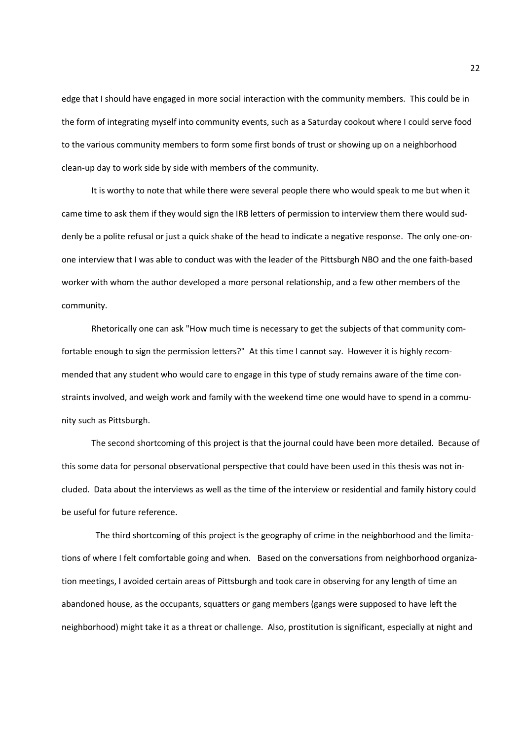edge that I should have engaged in more social interaction with the community members. This could be in the form of integrating myself into community events, such as a Saturday cookout where I could serve food to the various community members to form some first bonds of trust or showing up on a neighborhood clean-up day to work side by side with members of the community.

 It is worthy to note that while there were several people there who would speak to me but when it came time to ask them if they would sign the IRB letters of permission to interview them there would suddenly be a polite refusal or just a quick shake of the head to indicate a negative response. The only one-onone interview that I was able to conduct was with the leader of the Pittsburgh NBO and the one faith-based worker with whom the author developed a more personal relationship, and a few other members of the community.

 Rhetorically one can ask "How much time is necessary to get the subjects of that community comfortable enough to sign the permission letters?" At this time I cannot say. However it is highly recommended that any student who would care to engage in this type of study remains aware of the time constraints involved, and weigh work and family with the weekend time one would have to spend in a community such as Pittsburgh.

 The second shortcoming of this project is that the journal could have been more detailed. Because of this some data for personal observational perspective that could have been used in this thesis was not included. Data about the interviews as well as the time of the interview or residential and family history could be useful for future reference.

 The third shortcoming of this project is the geography of crime in the neighborhood and the limitations of where I felt comfortable going and when. Based on the conversations from neighborhood organization meetings, I avoided certain areas of Pittsburgh and took care in observing for any length of time an abandoned house, as the occupants, squatters or gang members (gangs were supposed to have left the neighborhood) might take it as a threat or challenge. Also, prostitution is significant, especially at night and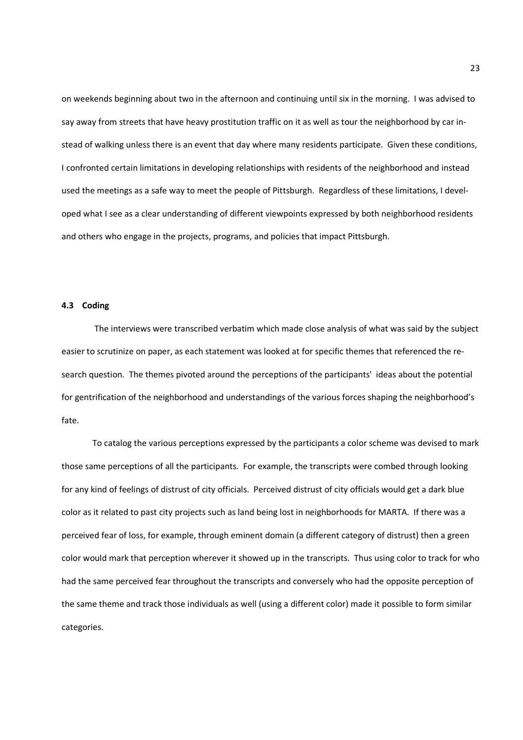on weekends beginning about two in the afternoon and continuing until six in the morning. I was advised to say away from streets that have heavy prostitution traffic on it as well as tour the neighborhood by car instead of walking unless there is an event that day where many residents participate. Given these conditions, I confronted certain limitations in developing relationships with residents of the neighborhood and instead used the meetings as a safe way to meet the people of Pittsburgh. Regardless of these limitations, I developed what I see as a clear understanding of different viewpoints expressed by both neighborhood residents and others who engage in the projects, programs, and policies that impact Pittsburgh.

### **4.3 Coding**

The interviews were transcribed verbatim which made close analysis of what was said by the subject easier to scrutinize on paper, as each statement was looked at for specific themes that referenced the research question. The themes pivoted around the perceptions of the participants' ideas about the potential for gentrification of the neighborhood and understandings of the various forces shaping the neighborhood's fate.

To catalog the various perceptions expressed by the participants a color scheme was devised to mark those same perceptions of all the participants. For example, the transcripts were combed through looking for any kind of feelings of distrust of city officials. Perceived distrust of city officials would get a dark blue color as it related to past city projects such as land being lost in neighborhoods for MARTA. If there was a perceived fear of loss, for example, through eminent domain (a different category of distrust) then a green color would mark that perception wherever it showed up in the transcripts. Thus using color to track for who had the same perceived fear throughout the transcripts and conversely who had the opposite perception of the same theme and track those individuals as well (using a different color) made it possible to form similar categories.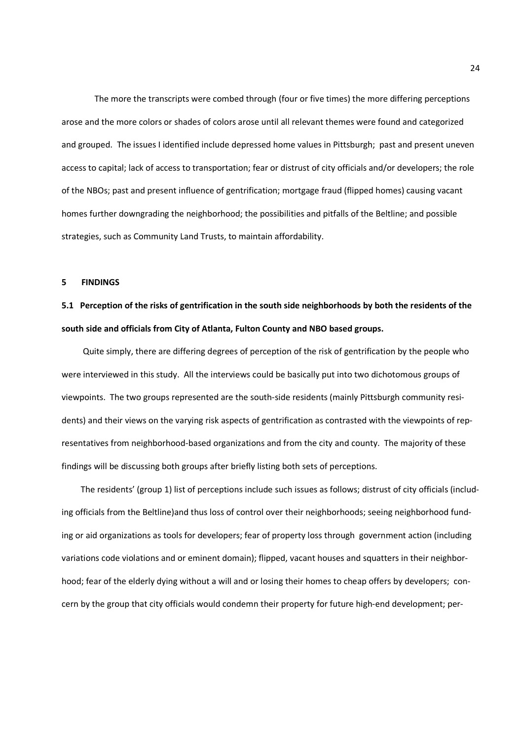The more the transcripts were combed through (four or five times) the more differing perceptions arose and the more colors or shades of colors arose until all relevant themes were found and categorized and grouped. The issues I identified include depressed home values in Pittsburgh; past and present uneven access to capital; lack of access to transportation; fear or distrust of city officials and/or developers; the role of the NBOs; past and present influence of gentrification; mortgage fraud (flipped homes) causing vacant homes further downgrading the neighborhood; the possibilities and pitfalls of the Beltline; and possible strategies, such as Community Land Trusts, to maintain affordability.

### **5 FINDINGS**

## **5.1 Perception of the risks of gentrification in the south side neighborhoods by both the residents of the south side and officials from City of Atlanta, Fulton County and NBO based groups.**

Quite simply, there are differing degrees of perception of the risk of gentrification by the people who were interviewed in this study. All the interviews could be basically put into two dichotomous groups of viewpoints. The two groups represented are the south-side residents (mainly Pittsburgh community residents) and their views on the varying risk aspects of gentrification as contrasted with the viewpoints of representatives from neighborhood-based organizations and from the city and county. The majority of these findings will be discussing both groups after briefly listing both sets of perceptions.

 The residents' (group 1) list of perceptions include such issues as follows; distrust of city officials (including officials from the Beltline)and thus loss of control over their neighborhoods; seeing neighborhood funding or aid organizations as tools for developers; fear of property loss through government action (including variations code violations and or eminent domain); flipped, vacant houses and squatters in their neighborhood; fear of the elderly dying without a will and or losing their homes to cheap offers by developers; concern by the group that city officials would condemn their property for future high-end development; per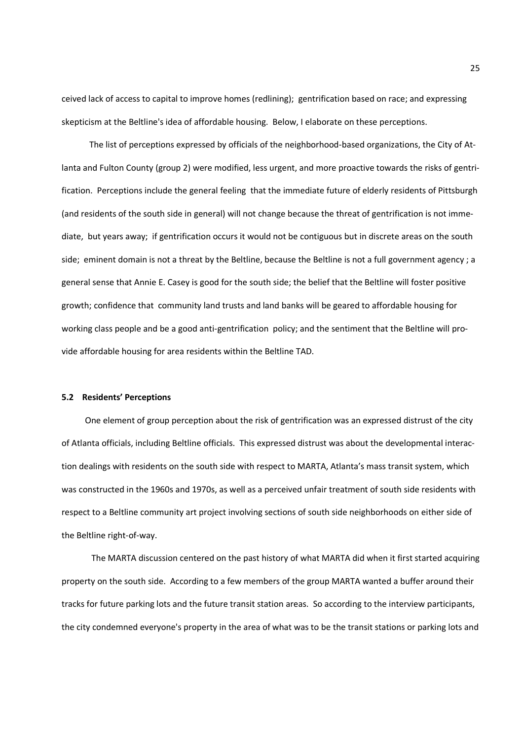ceived lack of access to capital to improve homes (redlining); gentrification based on race; and expressing skepticism at the Beltline's idea of affordable housing. Below, I elaborate on these perceptions.

 The list of perceptions expressed by officials of the neighborhood-based organizations, the City of Atlanta and Fulton County (group 2) were modified, less urgent, and more proactive towards the risks of gentrification. Perceptions include the general feeling that the immediate future of elderly residents of Pittsburgh (and residents of the south side in general) will not change because the threat of gentrification is not immediate, but years away; if gentrification occurs it would not be contiguous but in discrete areas on the south side; eminent domain is not a threat by the Beltline, because the Beltline is not a full government agency ; a general sense that Annie E. Casey is good for the south side; the belief that the Beltline will foster positive growth; confidence that community land trusts and land banks will be geared to affordable housing for working class people and be a good anti-gentrification policy; and the sentiment that the Beltline will provide affordable housing for area residents within the Beltline TAD.

### **5.2 Residents' Perceptions**

One element of group perception about the risk of gentrification was an expressed distrust of the city of Atlanta officials, including Beltline officials. This expressed distrust was about the developmental interaction dealings with residents on the south side with respect to MARTA, Atlanta's mass transit system, which was constructed in the 1960s and 1970s, as well as a perceived unfair treatment of south side residents with respect to a Beltline community art project involving sections of south side neighborhoods on either side of the Beltline right-of-way.

 The MARTA discussion centered on the past history of what MARTA did when it first started acquiring property on the south side. According to a few members of the group MARTA wanted a buffer around their tracks for future parking lots and the future transit station areas. So according to the interview participants, the city condemned everyone's property in the area of what was to be the transit stations or parking lots and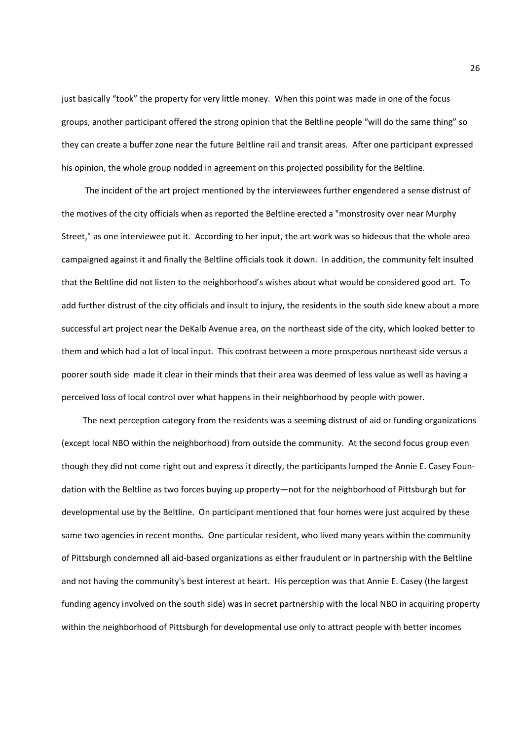just basically "took" the property for very little money. When this point was made in one of the focus groups, another participant offered the strong opinion that the Beltline people "will do the same thing" so they can create a buffer zone near the future Beltline rail and transit areas. After one participant expressed his opinion, the whole group nodded in agreement on this projected possibility for the Beltline.

 The incident of the art project mentioned by the interviewees further engendered a sense distrust of the motives of the city officials when as reported the Beltline erected a "monstrosity over near Murphy Street," as one interviewee put it. According to her input, the art work was so hideous that the whole area campaigned against it and finally the Beltline officials took it down. In addition, the community felt insulted that the Beltline did not listen to the neighborhood's wishes about what would be considered good art. To add further distrust of the city officials and insult to injury, the residents in the south side knew about a more successful art project near the DeKalb Avenue area, on the northeast side of the city, which looked better to them and which had a lot of local input. This contrast between a more prosperous northeast side versus a poorer south side made it clear in their minds that their area was deemed of less value as well as having a perceived loss of local control over what happens in their neighborhood by people with power.

 The next perception category from the residents was a seeming distrust of aid or funding organizations (except local NBO within the neighborhood) from outside the community. At the second focus group even though they did not come right out and express it directly, the participants lumped the Annie E. Casey Foundation with the Beltline as two forces buying up property—not for the neighborhood of Pittsburgh but for developmental use by the Beltline. On participant mentioned that four homes were just acquired by these same two agencies in recent months. One particular resident, who lived many years within the community of Pittsburgh condemned all aid-based organizations as either fraudulent or in partnership with the Beltline and not having the community's best interest at heart. His perception was that Annie E. Casey (the largest funding agency involved on the south side) was in secret partnership with the local NBO in acquiring property within the neighborhood of Pittsburgh for developmental use only to attract people with better incomes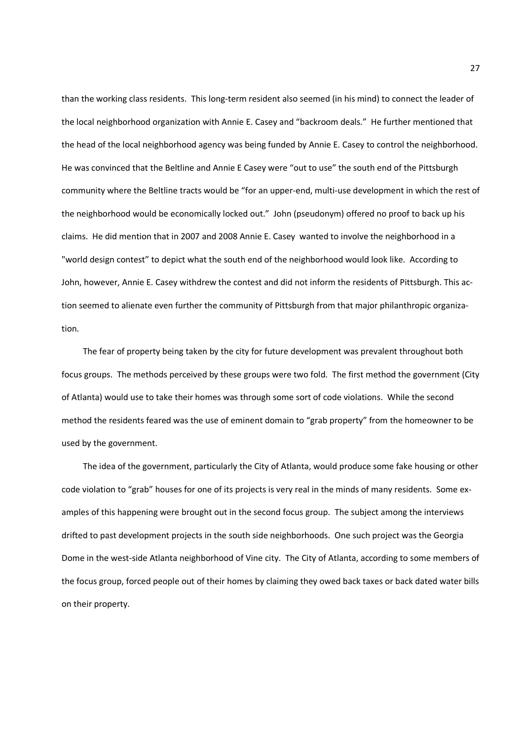than the working class residents. This long-term resident also seemed (in his mind) to connect the leader of the local neighborhood organization with Annie E. Casey and "backroom deals." He further mentioned that the head of the local neighborhood agency was being funded by Annie E. Casey to control the neighborhood. He was convinced that the Beltline and Annie E Casey were "out to use" the south end of the Pittsburgh community where the Beltline tracts would be "for an upper-end, multi-use development in which the rest of the neighborhood would be economically locked out." John (pseudonym) offered no proof to back up his claims. He did mention that in 2007 and 2008 Annie E. Casey wanted to involve the neighborhood in a "world design contest" to depict what the south end of the neighborhood would look like. According to John, however, Annie E. Casey withdrew the contest and did not inform the residents of Pittsburgh. This action seemed to alienate even further the community of Pittsburgh from that major philanthropic organization.

 The fear of property being taken by the city for future development was prevalent throughout both focus groups. The methods perceived by these groups were two fold. The first method the government (City of Atlanta) would use to take their homes was through some sort of code violations. While the second method the residents feared was the use of eminent domain to "grab property" from the homeowner to be used by the government.

 The idea of the government, particularly the City of Atlanta, would produce some fake housing or other code violation to "grab" houses for one of its projects is very real in the minds of many residents. Some examples of this happening were brought out in the second focus group. The subject among the interviews drifted to past development projects in the south side neighborhoods. One such project was the Georgia Dome in the west-side Atlanta neighborhood of Vine city. The City of Atlanta, according to some members of the focus group, forced people out of their homes by claiming they owed back taxes or back dated water bills on their property.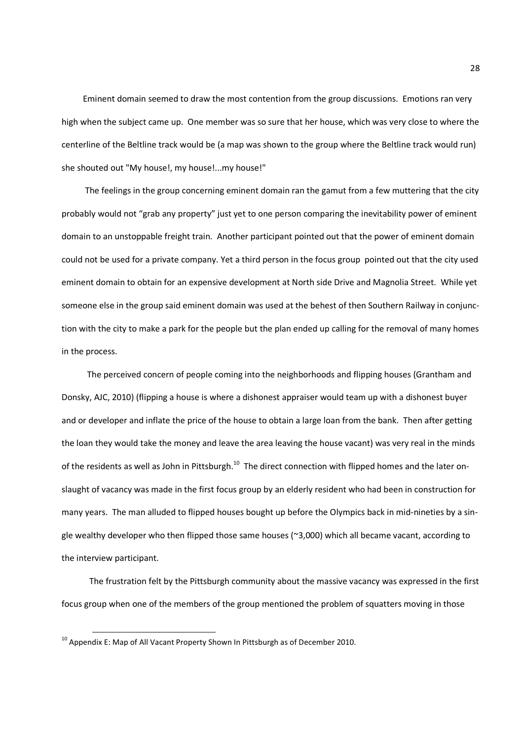Eminent domain seemed to draw the most contention from the group discussions. Emotions ran very high when the subject came up. One member was so sure that her house, which was very close to where the centerline of the Beltline track would be (a map was shown to the group where the Beltline track would run) she shouted out "My house!, my house!...my house!"

 The feelings in the group concerning eminent domain ran the gamut from a few muttering that the city probably would not "grab any property" just yet to one person comparing the inevitability power of eminent domain to an unstoppable freight train. Another participant pointed out that the power of eminent domain could not be used for a private company. Yet a third person in the focus group pointed out that the city used eminent domain to obtain for an expensive development at North side Drive and Magnolia Street. While yet someone else in the group said eminent domain was used at the behest of then Southern Railway in conjunction with the city to make a park for the people but the plan ended up calling for the removal of many homes in the process.

 The perceived concern of people coming into the neighborhoods and flipping houses (Grantham and Donsky, AJC, 2010) (flipping a house is where a dishonest appraiser would team up with a dishonest buyer and or developer and inflate the price of the house to obtain a large loan from the bank. Then after getting the loan they would take the money and leave the area leaving the house vacant) was very real in the minds of the residents as well as John in Pittsburgh.<sup>10</sup> The direct connection with flipped homes and the later onslaught of vacancy was made in the first focus group by an elderly resident who had been in construction for many years. The man alluded to flipped houses bought up before the Olympics back in mid-nineties by a single wealthy developer who then flipped those same houses (~3,000) which all became vacant, according to the interview participant.

 The frustration felt by the Pittsburgh community about the massive vacancy was expressed in the first focus group when one of the members of the group mentioned the problem of squatters moving in those

 $\overline{\phantom{0}}$ 

 $^{10}$  Appendix E: Map of All Vacant Property Shown In Pittsburgh as of December 2010.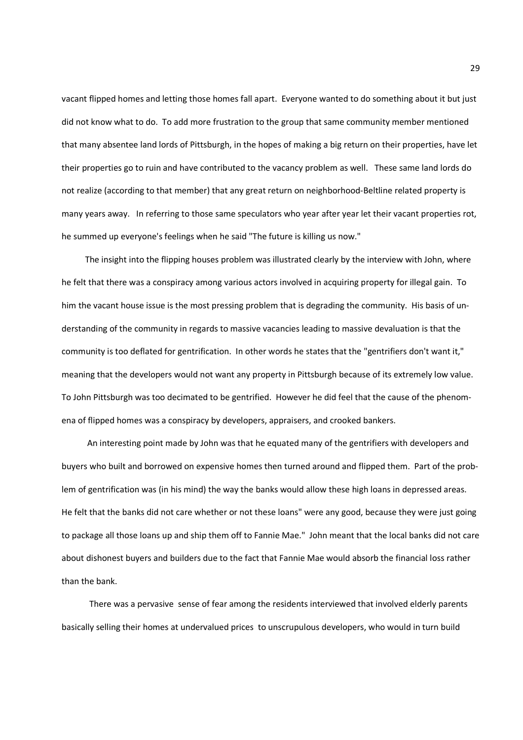vacant flipped homes and letting those homes fall apart. Everyone wanted to do something about it but just did not know what to do. To add more frustration to the group that same community member mentioned that many absentee land lords of Pittsburgh, in the hopes of making a big return on their properties, have let their properties go to ruin and have contributed to the vacancy problem as well. These same land lords do not realize (according to that member) that any great return on neighborhood-Beltline related property is many years away. In referring to those same speculators who year after year let their vacant properties rot, he summed up everyone's feelings when he said "The future is killing us now."

 The insight into the flipping houses problem was illustrated clearly by the interview with John, where he felt that there was a conspiracy among various actors involved in acquiring property for illegal gain. To him the vacant house issue is the most pressing problem that is degrading the community. His basis of understanding of the community in regards to massive vacancies leading to massive devaluation is that the community is too deflated for gentrification. In other words he states that the "gentrifiers don't want it," meaning that the developers would not want any property in Pittsburgh because of its extremely low value. To John Pittsburgh was too decimated to be gentrified. However he did feel that the cause of the phenomena of flipped homes was a conspiracy by developers, appraisers, and crooked bankers.

 An interesting point made by John was that he equated many of the gentrifiers with developers and buyers who built and borrowed on expensive homes then turned around and flipped them. Part of the problem of gentrification was (in his mind) the way the banks would allow these high loans in depressed areas. He felt that the banks did not care whether or not these loans" were any good, because they were just going to package all those loans up and ship them off to Fannie Mae." John meant that the local banks did not care about dishonest buyers and builders due to the fact that Fannie Mae would absorb the financial loss rather than the bank.

 There was a pervasive sense of fear among the residents interviewed that involved elderly parents basically selling their homes at undervalued prices to unscrupulous developers, who would in turn build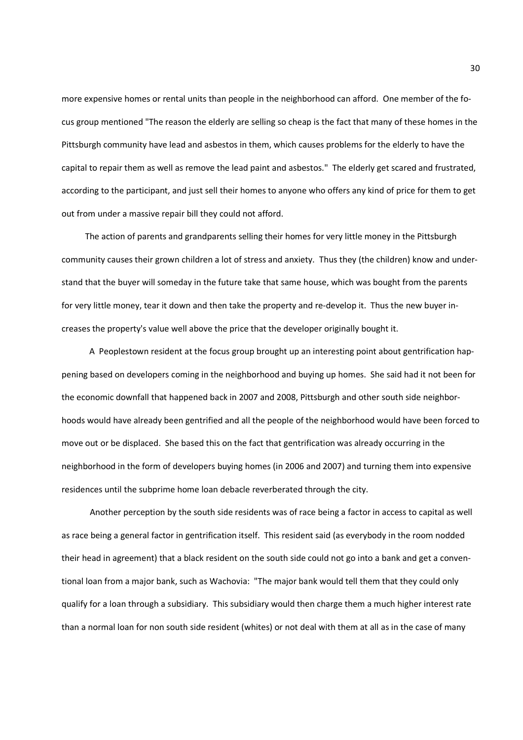more expensive homes or rental units than people in the neighborhood can afford. One member of the focus group mentioned "The reason the elderly are selling so cheap is the fact that many of these homes in the Pittsburgh community have lead and asbestos in them, which causes problems for the elderly to have the capital to repair them as well as remove the lead paint and asbestos." The elderly get scared and frustrated, according to the participant, and just sell their homes to anyone who offers any kind of price for them to get out from under a massive repair bill they could not afford.

 The action of parents and grandparents selling their homes for very little money in the Pittsburgh community causes their grown children a lot of stress and anxiety. Thus they (the children) know and understand that the buyer will someday in the future take that same house, which was bought from the parents for very little money, tear it down and then take the property and re-develop it. Thus the new buyer increases the property's value well above the price that the developer originally bought it.

 A Peoplestown resident at the focus group brought up an interesting point about gentrification happening based on developers coming in the neighborhood and buying up homes. She said had it not been for the economic downfall that happened back in 2007 and 2008, Pittsburgh and other south side neighborhoods would have already been gentrified and all the people of the neighborhood would have been forced to move out or be displaced. She based this on the fact that gentrification was already occurring in the neighborhood in the form of developers buying homes (in 2006 and 2007) and turning them into expensive residences until the subprime home loan debacle reverberated through the city.

 Another perception by the south side residents was of race being a factor in access to capital as well as race being a general factor in gentrification itself. This resident said (as everybody in the room nodded their head in agreement) that a black resident on the south side could not go into a bank and get a conventional loan from a major bank, such as Wachovia: "The major bank would tell them that they could only qualify for a loan through a subsidiary. This subsidiary would then charge them a much higher interest rate than a normal loan for non south side resident (whites) or not deal with them at all as in the case of many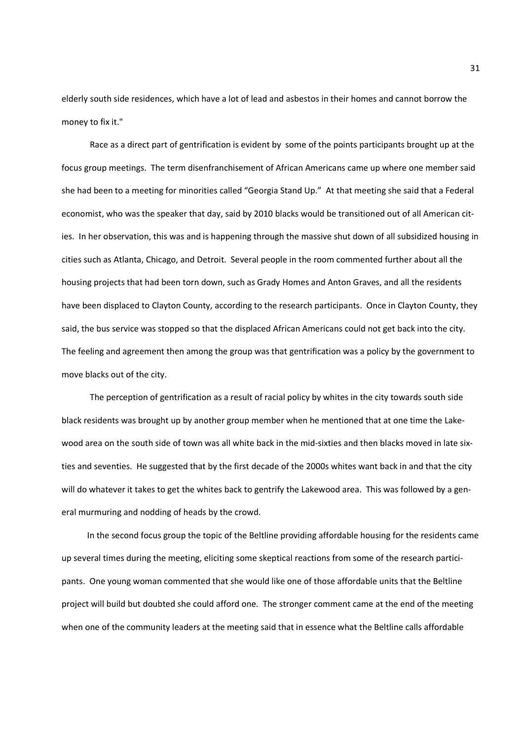elderly south side residences, which have a lot of lead and asbestos in their homes and cannot borrow the money to fix it."

 Race as a direct part of gentrification is evident by some of the points participants brought up at the focus group meetings. The term disenfranchisement of African Americans came up where one member said she had been to a meeting for minorities called "Georgia Stand Up." At that meeting she said that a Federal economist, who was the speaker that day, said by 2010 blacks would be transitioned out of all American cities. In her observation, this was and is happening through the massive shut down of all subsidized housing in cities such as Atlanta, Chicago, and Detroit. Several people in the room commented further about all the housing projects that had been torn down, such as Grady Homes and Anton Graves, and all the residents have been displaced to Clayton County, according to the research participants. Once in Clayton County, they said, the bus service was stopped so that the displaced African Americans could not get back into the city. The feeling and agreement then among the group was that gentrification was a policy by the government to move blacks out of the city.

 The perception of gentrification as a result of racial policy by whites in the city towards south side black residents was brought up by another group member when he mentioned that at one time the Lakewood area on the south side of town was all white back in the mid-sixties and then blacks moved in late sixties and seventies. He suggested that by the first decade of the 2000s whites want back in and that the city will do whatever it takes to get the whites back to gentrify the Lakewood area. This was followed by a general murmuring and nodding of heads by the crowd.

 In the second focus group the topic of the Beltline providing affordable housing for the residents came up several times during the meeting, eliciting some skeptical reactions from some of the research participants. One young woman commented that she would like one of those affordable units that the Beltline project will build but doubted she could afford one. The stronger comment came at the end of the meeting when one of the community leaders at the meeting said that in essence what the Beltline calls affordable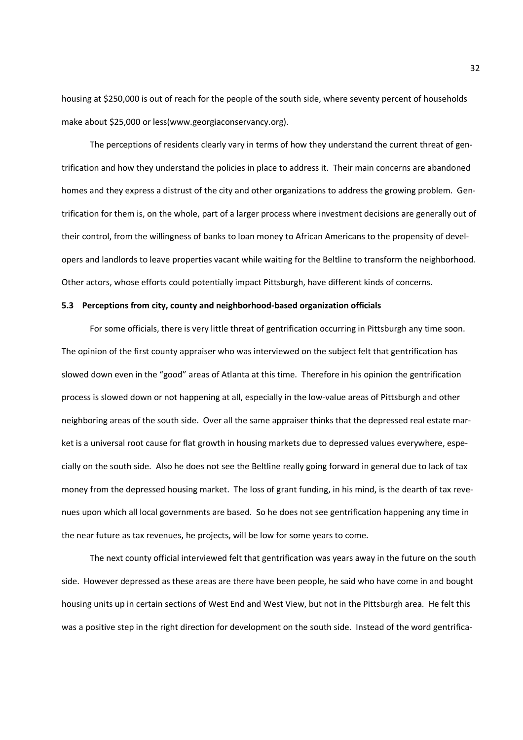housing at \$250,000 is out of reach for the people of the south side, where seventy percent of households make about \$25,000 or less(www.georgiaconservancy.org).

 The perceptions of residents clearly vary in terms of how they understand the current threat of gentrification and how they understand the policies in place to address it. Their main concerns are abandoned homes and they express a distrust of the city and other organizations to address the growing problem. Gentrification for them is, on the whole, part of a larger process where investment decisions are generally out of their control, from the willingness of banks to loan money to African Americans to the propensity of developers and landlords to leave properties vacant while waiting for the Beltline to transform the neighborhood. Other actors, whose efforts could potentially impact Pittsburgh, have different kinds of concerns.

#### **5.3 Perceptions from city, county and neighborhood-based organization officials**

For some officials, there is very little threat of gentrification occurring in Pittsburgh any time soon. The opinion of the first county appraiser who was interviewed on the subject felt that gentrification has slowed down even in the "good" areas of Atlanta at this time. Therefore in his opinion the gentrification process is slowed down or not happening at all, especially in the low-value areas of Pittsburgh and other neighboring areas of the south side. Over all the same appraiser thinks that the depressed real estate market is a universal root cause for flat growth in housing markets due to depressed values everywhere, especially on the south side. Also he does not see the Beltline really going forward in general due to lack of tax money from the depressed housing market. The loss of grant funding, in his mind, is the dearth of tax revenues upon which all local governments are based. So he does not see gentrification happening any time in the near future as tax revenues, he projects, will be low for some years to come.

 The next county official interviewed felt that gentrification was years away in the future on the south side. However depressed as these areas are there have been people, he said who have come in and bought housing units up in certain sections of West End and West View, but not in the Pittsburgh area. He felt this was a positive step in the right direction for development on the south side. Instead of the word gentrifica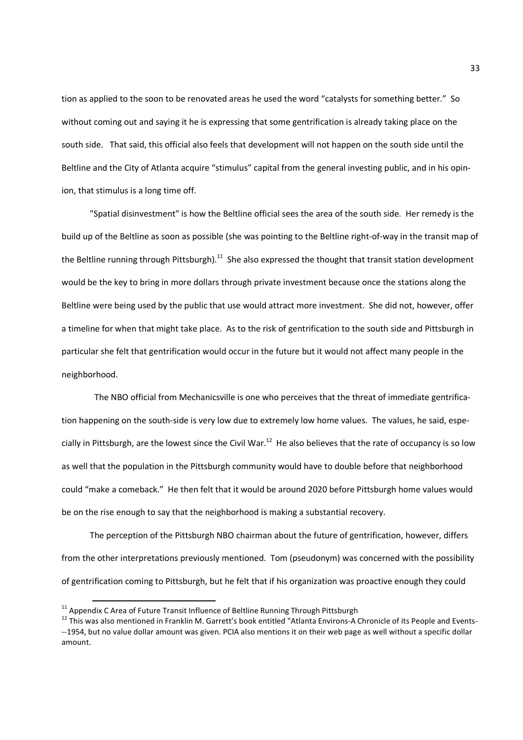tion as applied to the soon to be renovated areas he used the word "catalysts for something better." So without coming out and saying it he is expressing that some gentrification is already taking place on the south side. That said, this official also feels that development will not happen on the south side until the Beltline and the City of Atlanta acquire "stimulus" capital from the general investing public, and in his opinion, that stimulus is a long time off.

 "Spatial disinvestment" is how the Beltline official sees the area of the south side. Her remedy is the build up of the Beltline as soon as possible (she was pointing to the Beltline right-of-way in the transit map of the Beltline running through Pittsburgh).<sup>11</sup> She also expressed the thought that transit station development would be the key to bring in more dollars through private investment because once the stations along the Beltline were being used by the public that use would attract more investment. She did not, however, offer a timeline for when that might take place. As to the risk of gentrification to the south side and Pittsburgh in particular she felt that gentrification would occur in the future but it would not affect many people in the neighborhood.

 The NBO official from Mechanicsville is one who perceives that the threat of immediate gentrification happening on the south-side is very low due to extremely low home values. The values, he said, especially in Pittsburgh, are the lowest since the Civil War.<sup>12</sup> He also believes that the rate of occupancy is so low as well that the population in the Pittsburgh community would have to double before that neighborhood could "make a comeback." He then felt that it would be around 2020 before Pittsburgh home values would be on the rise enough to say that the neighborhood is making a substantial recovery.

 The perception of the Pittsburgh NBO chairman about the future of gentrification, however, differs from the other interpretations previously mentioned. Tom (pseudonym) was concerned with the possibility of gentrification coming to Pittsburgh, but he felt that if his organization was proactive enough they could

l

 $11$  Appendix C Area of Future Transit Influence of Beltline Running Through Pittsburgh

<sup>&</sup>lt;sup>12</sup> This was also mentioned in Franklin M. Garrett's book entitled "Atlanta Environs-A Chronicle of its People and Events---1954, but no value dollar amount was given. PCIA also mentions it on their web page as well without a specific dollar amount.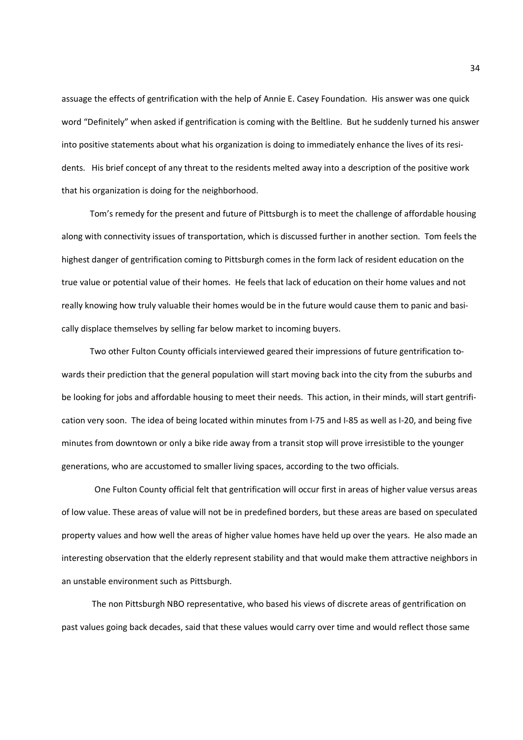assuage the effects of gentrification with the help of Annie E. Casey Foundation. His answer was one quick word "Definitely" when asked if gentrification is coming with the Beltline. But he suddenly turned his answer into positive statements about what his organization is doing to immediately enhance the lives of its residents. His brief concept of any threat to the residents melted away into a description of the positive work that his organization is doing for the neighborhood.

 Tom's remedy for the present and future of Pittsburgh is to meet the challenge of affordable housing along with connectivity issues of transportation, which is discussed further in another section. Tom feels the highest danger of gentrification coming to Pittsburgh comes in the form lack of resident education on the true value or potential value of their homes. He feels that lack of education on their home values and not really knowing how truly valuable their homes would be in the future would cause them to panic and basically displace themselves by selling far below market to incoming buyers.

 Two other Fulton County officials interviewed geared their impressions of future gentrification towards their prediction that the general population will start moving back into the city from the suburbs and be looking for jobs and affordable housing to meet their needs. This action, in their minds, will start gentrification very soon. The idea of being located within minutes from I-75 and I-85 as well as I-20, and being five minutes from downtown or only a bike ride away from a transit stop will prove irresistible to the younger generations, who are accustomed to smaller living spaces, according to the two officials.

 One Fulton County official felt that gentrification will occur first in areas of higher value versus areas of low value. These areas of value will not be in predefined borders, but these areas are based on speculated property values and how well the areas of higher value homes have held up over the years. He also made an interesting observation that the elderly represent stability and that would make them attractive neighbors in an unstable environment such as Pittsburgh.

 The non Pittsburgh NBO representative, who based his views of discrete areas of gentrification on past values going back decades, said that these values would carry over time and would reflect those same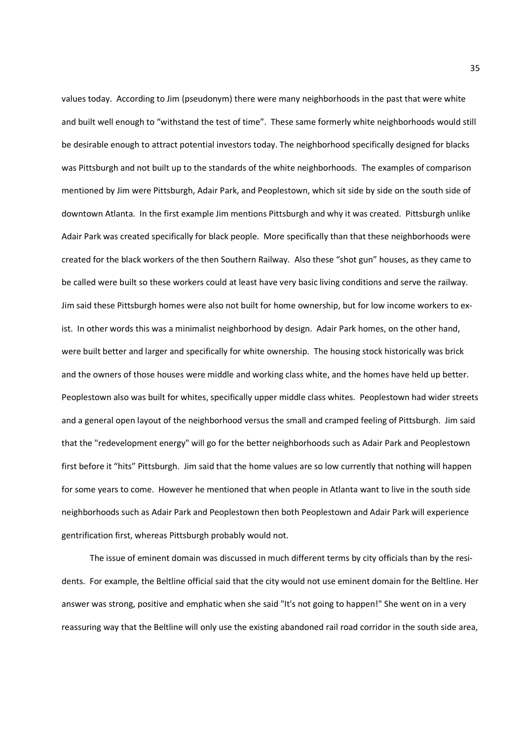values today. According to Jim (pseudonym) there were many neighborhoods in the past that were white and built well enough to "withstand the test of time". These same formerly white neighborhoods would still be desirable enough to attract potential investors today. The neighborhood specifically designed for blacks was Pittsburgh and not built up to the standards of the white neighborhoods. The examples of comparison mentioned by Jim were Pittsburgh, Adair Park, and Peoplestown, which sit side by side on the south side of downtown Atlanta. In the first example Jim mentions Pittsburgh and why it was created. Pittsburgh unlike Adair Park was created specifically for black people. More specifically than that these neighborhoods were created for the black workers of the then Southern Railway. Also these "shot gun" houses, as they came to be called were built so these workers could at least have very basic living conditions and serve the railway. Jim said these Pittsburgh homes were also not built for home ownership, but for low income workers to exist. In other words this was a minimalist neighborhood by design. Adair Park homes, on the other hand, were built better and larger and specifically for white ownership. The housing stock historically was brick and the owners of those houses were middle and working class white, and the homes have held up better. Peoplestown also was built for whites, specifically upper middle class whites. Peoplestown had wider streets and a general open layout of the neighborhood versus the small and cramped feeling of Pittsburgh. Jim said that the "redevelopment energy" will go for the better neighborhoods such as Adair Park and Peoplestown first before it "hits" Pittsburgh. Jim said that the home values are so low currently that nothing will happen for some years to come. However he mentioned that when people in Atlanta want to live in the south side neighborhoods such as Adair Park and Peoplestown then both Peoplestown and Adair Park will experience gentrification first, whereas Pittsburgh probably would not.

 The issue of eminent domain was discussed in much different terms by city officials than by the residents. For example, the Beltline official said that the city would not use eminent domain for the Beltline. Her answer was strong, positive and emphatic when she said "It's not going to happen!" She went on in a very reassuring way that the Beltline will only use the existing abandoned rail road corridor in the south side area,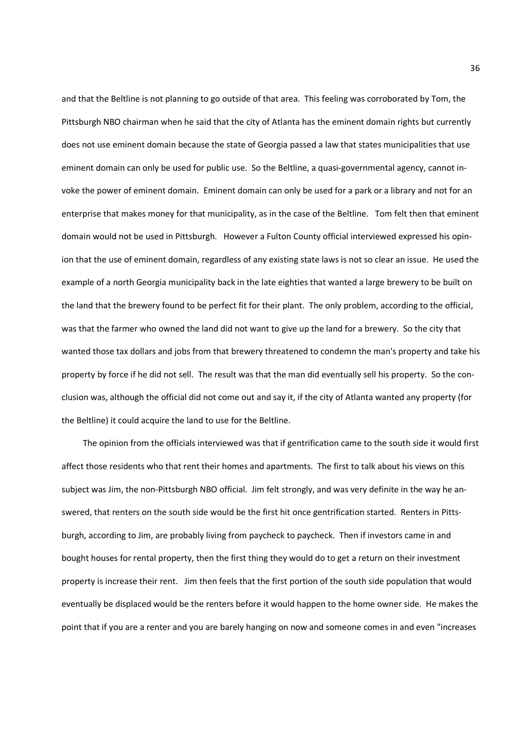and that the Beltline is not planning to go outside of that area. This feeling was corroborated by Tom, the Pittsburgh NBO chairman when he said that the city of Atlanta has the eminent domain rights but currently does not use eminent domain because the state of Georgia passed a law that states municipalities that use eminent domain can only be used for public use. So the Beltline, a quasi-governmental agency, cannot invoke the power of eminent domain. Eminent domain can only be used for a park or a library and not for an enterprise that makes money for that municipality, as in the case of the Beltline. Tom felt then that eminent domain would not be used in Pittsburgh. However a Fulton County official interviewed expressed his opinion that the use of eminent domain, regardless of any existing state laws is not so clear an issue. He used the example of a north Georgia municipality back in the late eighties that wanted a large brewery to be built on the land that the brewery found to be perfect fit for their plant. The only problem, according to the official, was that the farmer who owned the land did not want to give up the land for a brewery. So the city that wanted those tax dollars and jobs from that brewery threatened to condemn the man's property and take his property by force if he did not sell. The result was that the man did eventually sell his property. So the conclusion was, although the official did not come out and say it, if the city of Atlanta wanted any property (for the Beltline) it could acquire the land to use for the Beltline.

 The opinion from the officials interviewed was that if gentrification came to the south side it would first affect those residents who that rent their homes and apartments. The first to talk about his views on this subject was Jim, the non-Pittsburgh NBO official. Jim felt strongly, and was very definite in the way he answered, that renters on the south side would be the first hit once gentrification started. Renters in Pittsburgh, according to Jim, are probably living from paycheck to paycheck. Then if investors came in and bought houses for rental property, then the first thing they would do to get a return on their investment property is increase their rent. Jim then feels that the first portion of the south side population that would eventually be displaced would be the renters before it would happen to the home owner side. He makes the point that if you are a renter and you are barely hanging on now and someone comes in and even "increases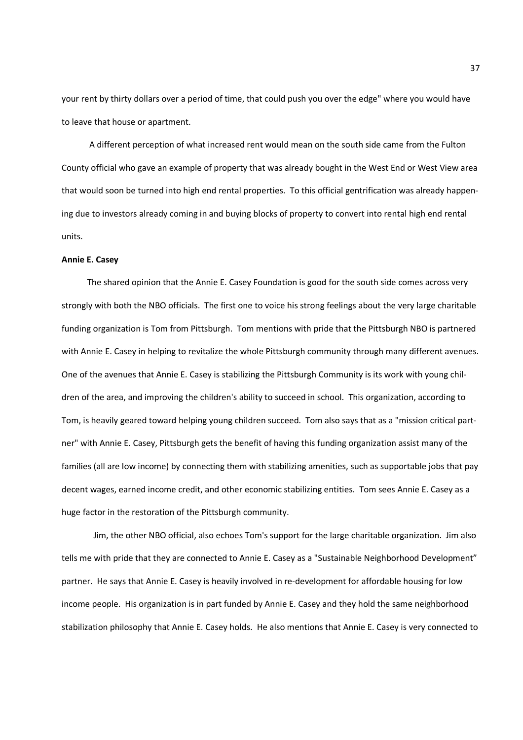your rent by thirty dollars over a period of time, that could push you over the edge" where you would have to leave that house or apartment.

 A different perception of what increased rent would mean on the south side came from the Fulton County official who gave an example of property that was already bought in the West End or West View area that would soon be turned into high end rental properties. To this official gentrification was already happening due to investors already coming in and buying blocks of property to convert into rental high end rental units.

### **Annie E. Casey**

 The shared opinion that the Annie E. Casey Foundation is good for the south side comes across very strongly with both the NBO officials. The first one to voice his strong feelings about the very large charitable funding organization is Tom from Pittsburgh. Tom mentions with pride that the Pittsburgh NBO is partnered with Annie E. Casey in helping to revitalize the whole Pittsburgh community through many different avenues. One of the avenues that Annie E. Casey is stabilizing the Pittsburgh Community is its work with young children of the area, and improving the children's ability to succeed in school. This organization, according to Tom, is heavily geared toward helping young children succeed. Tom also says that as a "mission critical partner" with Annie E. Casey, Pittsburgh gets the benefit of having this funding organization assist many of the families (all are low income) by connecting them with stabilizing amenities, such as supportable jobs that pay decent wages, earned income credit, and other economic stabilizing entities. Tom sees Annie E. Casey as a huge factor in the restoration of the Pittsburgh community.

 Jim, the other NBO official, also echoes Tom's support for the large charitable organization. Jim also tells me with pride that they are connected to Annie E. Casey as a "Sustainable Neighborhood Development" partner. He says that Annie E. Casey is heavily involved in re-development for affordable housing for low income people. His organization is in part funded by Annie E. Casey and they hold the same neighborhood stabilization philosophy that Annie E. Casey holds. He also mentions that Annie E. Casey is very connected to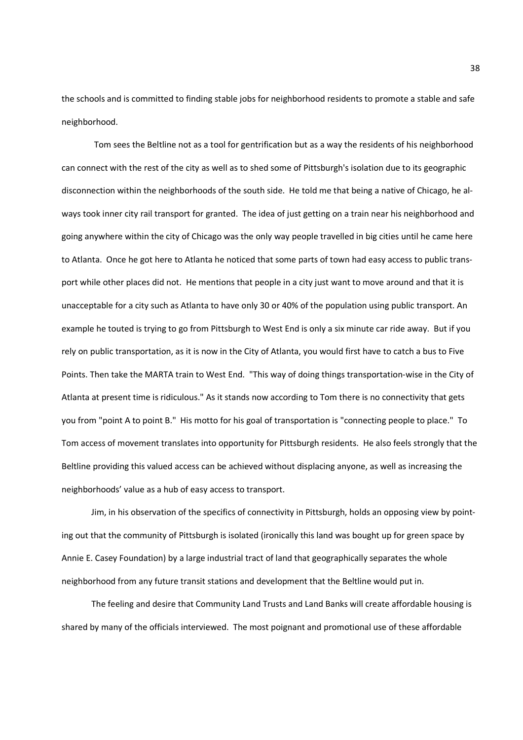the schools and is committed to finding stable jobs for neighborhood residents to promote a stable and safe neighborhood.

 Tom sees the Beltline not as a tool for gentrification but as a way the residents of his neighborhood can connect with the rest of the city as well as to shed some of Pittsburgh's isolation due to its geographic disconnection within the neighborhoods of the south side. He told me that being a native of Chicago, he always took inner city rail transport for granted. The idea of just getting on a train near his neighborhood and going anywhere within the city of Chicago was the only way people travelled in big cities until he came here to Atlanta. Once he got here to Atlanta he noticed that some parts of town had easy access to public transport while other places did not. He mentions that people in a city just want to move around and that it is unacceptable for a city such as Atlanta to have only 30 or 40% of the population using public transport. An example he touted is trying to go from Pittsburgh to West End is only a six minute car ride away. But if you rely on public transportation, as it is now in the City of Atlanta, you would first have to catch a bus to Five Points. Then take the MARTA train to West End. "This way of doing things transportation-wise in the City of Atlanta at present time is ridiculous." As it stands now according to Tom there is no connectivity that gets you from "point A to point B." His motto for his goal of transportation is "connecting people to place." To Tom access of movement translates into opportunity for Pittsburgh residents. He also feels strongly that the Beltline providing this valued access can be achieved without displacing anyone, as well as increasing the neighborhoods' value as a hub of easy access to transport.

 Jim, in his observation of the specifics of connectivity in Pittsburgh, holds an opposing view by pointing out that the community of Pittsburgh is isolated (ironically this land was bought up for green space by Annie E. Casey Foundation) by a large industrial tract of land that geographically separates the whole neighborhood from any future transit stations and development that the Beltline would put in.

 The feeling and desire that Community Land Trusts and Land Banks will create affordable housing is shared by many of the officials interviewed. The most poignant and promotional use of these affordable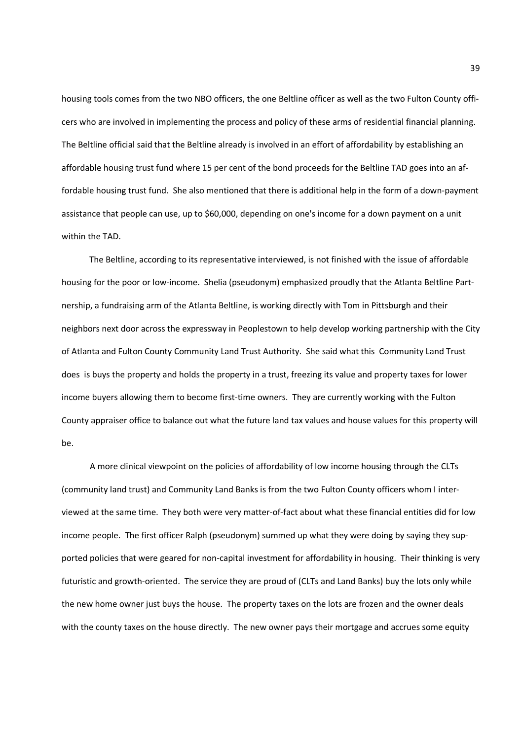housing tools comes from the two NBO officers, the one Beltline officer as well as the two Fulton County officers who are involved in implementing the process and policy of these arms of residential financial planning. The Beltline official said that the Beltline already is involved in an effort of affordability by establishing an affordable housing trust fund where 15 per cent of the bond proceeds for the Beltline TAD goes into an affordable housing trust fund. She also mentioned that there is additional help in the form of a down-payment assistance that people can use, up to \$60,000, depending on one's income for a down payment on a unit within the TAD.

 The Beltline, according to its representative interviewed, is not finished with the issue of affordable housing for the poor or low-income. Shelia (pseudonym) emphasized proudly that the Atlanta Beltline Partnership, a fundraising arm of the Atlanta Beltline, is working directly with Tom in Pittsburgh and their neighbors next door across the expressway in Peoplestown to help develop working partnership with the City of Atlanta and Fulton County Community Land Trust Authority. She said what this Community Land Trust does is buys the property and holds the property in a trust, freezing its value and property taxes for lower income buyers allowing them to become first-time owners. They are currently working with the Fulton County appraiser office to balance out what the future land tax values and house values for this property will be.

 A more clinical viewpoint on the policies of affordability of low income housing through the CLTs (community land trust) and Community Land Banks is from the two Fulton County officers whom I interviewed at the same time. They both were very matter-of-fact about what these financial entities did for low income people. The first officer Ralph (pseudonym) summed up what they were doing by saying they supported policies that were geared for non-capital investment for affordability in housing. Their thinking is very futuristic and growth-oriented. The service they are proud of (CLTs and Land Banks) buy the lots only while the new home owner just buys the house. The property taxes on the lots are frozen and the owner deals with the county taxes on the house directly. The new owner pays their mortgage and accrues some equity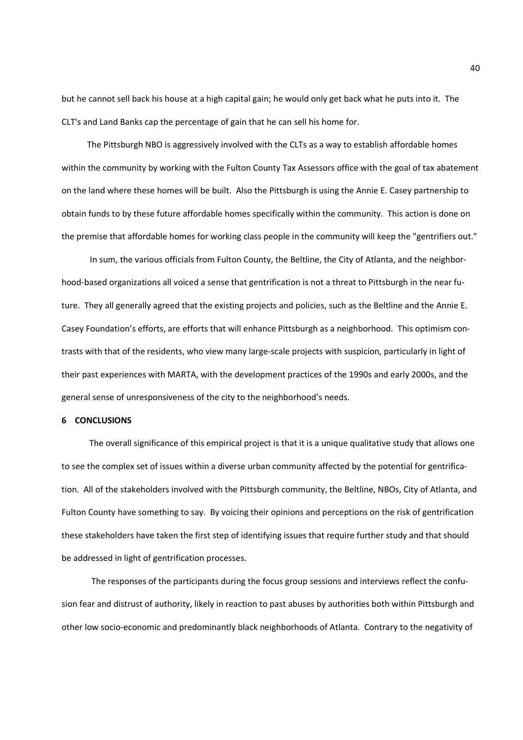but he cannot sell back his house at a high capital gain; he would only get back what he puts into it. The CLT's and Land Banks cap the percentage of gain that he can sell his home for.

 The Pittsburgh NBO is aggressively involved with the CLTs as a way to establish affordable homes within the community by working with the Fulton County Tax Assessors office with the goal of tax abatement on the land where these homes will be built. Also the Pittsburgh is using the Annie E. Casey partnership to obtain funds to by these future affordable homes specifically within the community. This action is done on the premise that affordable homes for working class people in the community will keep the "gentrifiers out."

 In sum, the various officials from Fulton County, the Beltline, the City of Atlanta, and the neighborhood-based organizations all voiced a sense that gentrification is not a threat to Pittsburgh in the near future. They all generally agreed that the existing projects and policies, such as the Beltline and the Annie E. Casey Foundation's efforts, are efforts that will enhance Pittsburgh as a neighborhood. This optimism contrasts with that of the residents, who view many large-scale projects with suspicion, particularly in light of their past experiences with MARTA, with the development practices of the 1990s and early 2000s, and the general sense of unresponsiveness of the city to the neighborhood's needs.

### **6 CONCLUSIONS**

The overall significance of this empirical project is that it is a unique qualitative study that allows one to see the complex set of issues within a diverse urban community affected by the potential for gentrification. All of the stakeholders involved with the Pittsburgh community, the Beltline, NBOs, City of Atlanta, and Fulton County have something to say. By voicing their opinions and perceptions on the risk of gentrification these stakeholders have taken the first step of identifying issues that require further study and that should be addressed in light of gentrification processes.

 The responses of the participants during the focus group sessions and interviews reflect the confusion fear and distrust of authority, likely in reaction to past abuses by authorities both within Pittsburgh and other low socio-economic and predominantly black neighborhoods of Atlanta. Contrary to the negativity of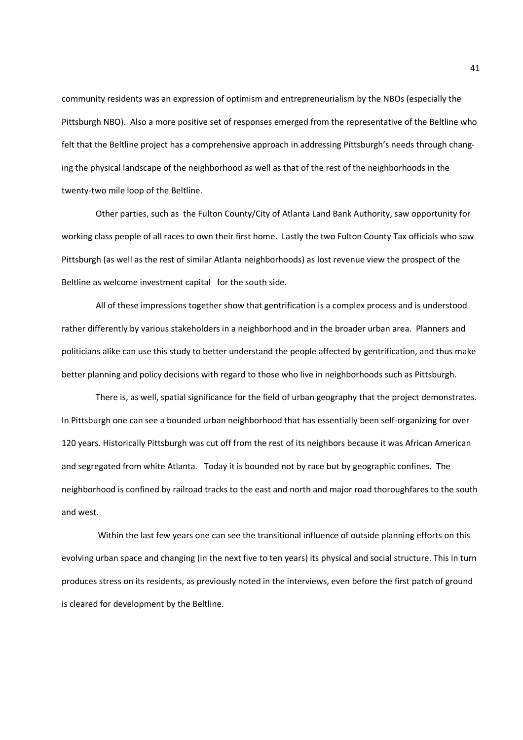community residents was an expression of optimism and entrepreneurialism by the NBOs (especially the Pittsburgh NBO). Also a more positive set of responses emerged from the representative of the Beltline who felt that the Beltline project has a comprehensive approach in addressing Pittsburgh's needs through changing the physical landscape of the neighborhood as well as that of the rest of the neighborhoods in the twenty-two mile loop of the Beltline.

 Other parties, such as the Fulton County/City of Atlanta Land Bank Authority, saw opportunity for working class people of all races to own their first home. Lastly the two Fulton County Tax officials who saw Pittsburgh (as well as the rest of similar Atlanta neighborhoods) as lost revenue view the prospect of the Beltline as welcome investment capital for the south side.

 All of these impressions together show that gentrification is a complex process and is understood rather differently by various stakeholders in a neighborhood and in the broader urban area. Planners and politicians alike can use this study to better understand the people affected by gentrification, and thus make better planning and policy decisions with regard to those who live in neighborhoods such as Pittsburgh.

 There is, as well, spatial significance for the field of urban geography that the project demonstrates. In Pittsburgh one can see a bounded urban neighborhood that has essentially been self-organizing for over 120 years. Historically Pittsburgh was cut off from the rest of its neighbors because it was African American and segregated from white Atlanta. Today it is bounded not by race but by geographic confines. The neighborhood is confined by railroad tracks to the east and north and major road thoroughfares to the south and west.

 Within the last few years one can see the transitional influence of outside planning efforts on this evolving urban space and changing (in the next five to ten years) its physical and social structure. This in turn produces stress on its residents, as previously noted in the interviews, even before the first patch of ground is cleared for development by the Beltline.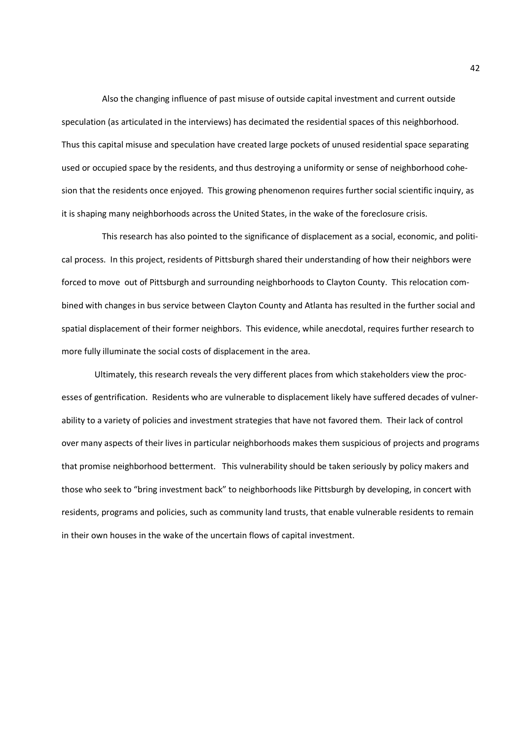Also the changing influence of past misuse of outside capital investment and current outside speculation (as articulated in the interviews) has decimated the residential spaces of this neighborhood. Thus this capital misuse and speculation have created large pockets of unused residential space separating used or occupied space by the residents, and thus destroying a uniformity or sense of neighborhood cohesion that the residents once enjoyed. This growing phenomenon requires further social scientific inquiry, as it is shaping many neighborhoods across the United States, in the wake of the foreclosure crisis.

 This research has also pointed to the significance of displacement as a social, economic, and political process. In this project, residents of Pittsburgh shared their understanding of how their neighbors were forced to move out of Pittsburgh and surrounding neighborhoods to Clayton County. This relocation combined with changes in bus service between Clayton County and Atlanta has resulted in the further social and spatial displacement of their former neighbors. This evidence, while anecdotal, requires further research to more fully illuminate the social costs of displacement in the area.

 Ultimately, this research reveals the very different places from which stakeholders view the processes of gentrification. Residents who are vulnerable to displacement likely have suffered decades of vulnerability to a variety of policies and investment strategies that have not favored them. Their lack of control over many aspects of their lives in particular neighborhoods makes them suspicious of projects and programs that promise neighborhood betterment. This vulnerability should be taken seriously by policy makers and those who seek to "bring investment back" to neighborhoods like Pittsburgh by developing, in concert with residents, programs and policies, such as community land trusts, that enable vulnerable residents to remain in their own houses in the wake of the uncertain flows of capital investment.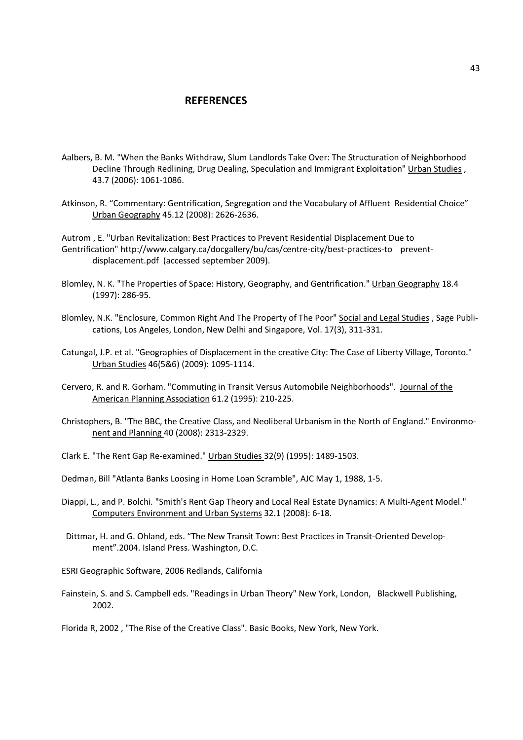## **REFERENCES**

- Aalbers, B. M. "When the Banks Withdraw, Slum Landlords Take Over: The Structuration of Neighborhood Decline Through Redlining, Drug Dealing, Speculation and Immigrant Exploitation" Urban Studies , 43.7 (2006): 1061-1086.
- Atkinson, R. "Commentary: Gentrification, Segregation and the Vocabulary of Affluent Residential Choice" Urban Geography 45.12 (2008): 2626-2636.

Autrom , E. "Urban Revitalization: Best Practices to Prevent Residential Displacement Due to Gentrification" http://www.calgary.ca/docgallery/bu/cas/centre-city/best-practices-to preventdisplacement.pdf (accessed september 2009).

- Blomley, N. K. "The Properties of Space: History, Geography, and Gentrification." Urban Geography 18.4 (1997): 286-95.
- Blomley, N.K. "Enclosure, Common Right And The Property of The Poor" Social and Legal Studies , Sage Publications, Los Angeles, London, New Delhi and Singapore, Vol. 17(3), 311-331.
- Catungal, J.P. et al. "Geographies of Displacement in the creative City: The Case of Liberty Village, Toronto." Urban Studies 46(5&6) (2009): 1095-1114.
- Cervero, R. and R. Gorham. "Commuting in Transit Versus Automobile Neighborhoods". Journal of the American Planning Association 61.2 (1995): 210-225.
- Christophers, B. "The BBC, the Creative Class, and Neoliberal Urbanism in the North of England." Environmonent and Planning 40 (2008): 2313-2329.
- Clark E. "The Rent Gap Re-examined." Urban Studies 32(9) (1995): 1489-1503.
- Dedman, Bill "Atlanta Banks Loosing in Home Loan Scramble", AJC May 1, 1988, 1-5.
- Diappi, L., and P. Bolchi. "Smith's Rent Gap Theory and Local Real Estate Dynamics: A Multi-Agent Model." Computers Environment and Urban Systems 32.1 (2008): 6-18.
- Dittmar, H. and G. Ohland, eds. "The New Transit Town: Best Practices in Transit-Oriented Development".2004. Island Press. Washington, D.C.

ESRI Geographic Software, 2006 Redlands, California

Fainstein, S. and S. Campbell eds. "Readings in Urban Theory" New York, London, Blackwell Publishing, 2002.

Florida R, 2002 , "The Rise of the Creative Class". Basic Books, New York, New York.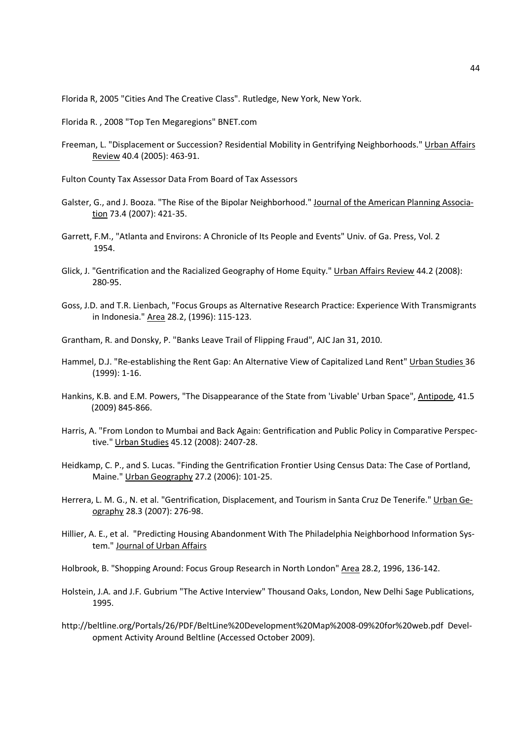Florida R, 2005 "Cities And The Creative Class". Rutledge, New York, New York.

- Florida R. , 2008 "Top Ten Megaregions" BNET.com
- Freeman, L. "Displacement or Succession? Residential Mobility in Gentrifying Neighborhoods." Urban Affairs Review 40.4 (2005): 463-91.
- Fulton County Tax Assessor Data From Board of Tax Assessors
- Galster, G., and J. Booza. "The Rise of the Bipolar Neighborhood." Journal of the American Planning Association 73.4 (2007): 421-35.
- Garrett, F.M., "Atlanta and Environs: A Chronicle of Its People and Events" Univ. of Ga. Press, Vol. 2 1954.
- Glick, J. "Gentrification and the Racialized Geography of Home Equity." Urban Affairs Review 44.2 (2008): 280-95.
- Goss, J.D. and T.R. Lienbach, "Focus Groups as Alternative Research Practice: Experience With Transmigrants in Indonesia." Area 28.2, (1996): 115-123.
- Grantham, R. and Donsky, P. "Banks Leave Trail of Flipping Fraud", AJC Jan 31, 2010.
- Hammel, D.J. "Re-establishing the Rent Gap: An Alternative View of Capitalized Land Rent" Urban Studies 36 (1999): 1-16.
- Hankins, K.B. and E.M. Powers, "The Disappearance of the State from 'Livable' Urban Space", Antipode, 41.5 (2009) 845-866.
- Harris, A. "From London to Mumbai and Back Again: Gentrification and Public Policy in Comparative Perspective." Urban Studies 45.12 (2008): 2407-28.
- Heidkamp, C. P., and S. Lucas. "Finding the Gentrification Frontier Using Census Data: The Case of Portland, Maine." Urban Geography 27.2 (2006): 101-25.
- Herrera, L. M. G., N. et al. "Gentrification, Displacement, and Tourism in Santa Cruz De Tenerife." Urban Geography 28.3 (2007): 276-98.
- Hillier, A. E., et al. "Predicting Housing Abandonment With The Philadelphia Neighborhood Information System." Journal of Urban Affairs
- Holbrook, B. "Shopping Around: Focus Group Research in North London" Area 28.2, 1996, 136-142.
- Holstein, J.A. and J.F. Gubrium "The Active Interview" Thousand Oaks, London, New Delhi Sage Publications, 1995.
- http://beltline.org/Portals/26/PDF/BeltLine%20Development%20Map%2008-09%20for%20web.pdf Development Activity Around Beltline (Accessed October 2009).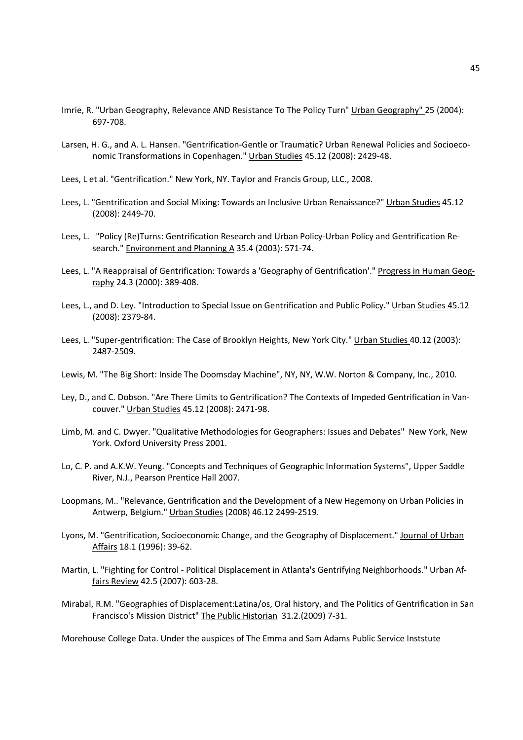- Imrie, R. "Urban Geography, Relevance AND Resistance To The Policy Turn" Urban Geography" 25 (2004): 697-708.
- Larsen, H. G., and A. L. Hansen. "Gentrification-Gentle or Traumatic? Urban Renewal Policies and Socioeconomic Transformations in Copenhagen." Urban Studies 45.12 (2008): 2429-48.
- Lees, L et al. "Gentrification." New York, NY. Taylor and Francis Group, LLC., 2008.
- Lees, L. "Gentrification and Social Mixing: Towards an Inclusive Urban Renaissance?" Urban Studies 45.12 (2008): 2449-70.
- Lees, L. "Policy (Re)Turns: Gentrification Research and Urban Policy-Urban Policy and Gentrification Research." Environment and Planning A 35.4 (2003): 571-74.
- Lees, L. "A Reappraisal of Gentrification: Towards a 'Geography of Gentrification'." Progress in Human Geography 24.3 (2000): 389-408.
- Lees, L., and D. Ley. "Introduction to Special Issue on Gentrification and Public Policy." Urban Studies 45.12 (2008): 2379-84.
- Lees, L. "Super-gentrification: The Case of Brooklyn Heights, New York City." Urban Studies 40.12 (2003): 2487-2509.
- Lewis, M. "The Big Short: Inside The Doomsday Machine", NY, NY, W.W. Norton & Company, Inc., 2010.
- Ley, D., and C. Dobson. "Are There Limits to Gentrification? The Contexts of Impeded Gentrification in Vancouver." Urban Studies 45.12 (2008): 2471-98.
- Limb, M. and C. Dwyer. "Qualitative Methodologies for Geographers: Issues and Debates" New York, New York. Oxford University Press 2001.
- Lo, C. P. and A.K.W. Yeung. "Concepts and Techniques of Geographic Information Systems", Upper Saddle River, N.J., Pearson Prentice Hall 2007.
- Loopmans, M.. "Relevance, Gentrification and the Development of a New Hegemony on Urban Policies in Antwerp, Belgium." Urban Studies (2008) 46.12 2499-2519.
- Lyons, M. "Gentrification, Socioeconomic Change, and the Geography of Displacement." Journal of Urban Affairs 18.1 (1996): 39-62.
- Martin, L. "Fighting for Control Political Displacement in Atlanta's Gentrifying Neighborhoods." Urban Affairs Review 42.5 (2007): 603-28.
- Mirabal, R.M. "Geographies of Displacement:Latina/os, Oral history, and The Politics of Gentrification in San Francisco's Mission District" The Public Historian 31.2.(2009) 7-31.

Morehouse College Data. Under the auspices of The Emma and Sam Adams Public Service Inststute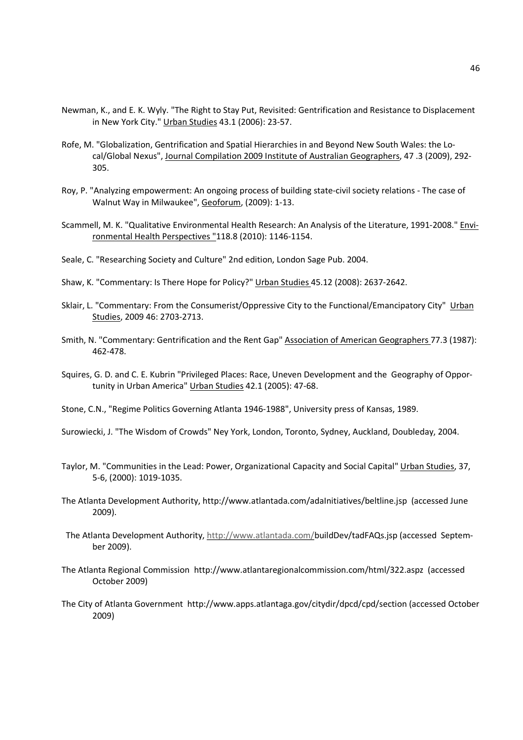- Newman, K., and E. K. Wyly. "The Right to Stay Put, Revisited: Gentrification and Resistance to Displacement in New York City." Urban Studies 43.1 (2006): 23-57.
- Rofe, M. "Globalization, Gentrification and Spatial Hierarchies in and Beyond New South Wales: the Local/Global Nexus", Journal Compilation 2009 Institute of Australian Geographers, 47 .3 (2009), 292- 305.
- Roy, P. "Analyzing empowerment: An ongoing process of building state-civil society relations The case of Walnut Way in Milwaukee", Geoforum, (2009): 1-13.
- Scammell, M. K. "Qualitative Environmental Health Research: An Analysis of the Literature, 1991-2008." Environmental Health Perspectives "118.8 (2010): 1146-1154.
- Seale, C. "Researching Society and Culture" 2nd edition, London Sage Pub. 2004.
- Shaw, K. "Commentary: Is There Hope for Policy?" Urban Studies 45.12 (2008): 2637-2642.
- Sklair, L. "Commentary: From the Consumerist/Oppressive City to the Functional/Emancipatory City" Urban Studies, 2009 46: 2703-2713.
- Smith, N. "Commentary: Gentrification and the Rent Gap" Association of American Geographers 77.3 (1987): 462-478.
- Squires, G. D. and C. E. Kubrin "Privileged Places: Race, Uneven Development and the Geography of Opportunity in Urban America" Urban Studies 42.1 (2005): 47-68.
- Stone, C.N., "Regime Politics Governing Atlanta 1946-1988", University press of Kansas, 1989.
- Surowiecki, J. "The Wisdom of Crowds" Ney York, London, Toronto, Sydney, Auckland, Doubleday, 2004.
- Taylor, M. "Communities in the Lead: Power, Organizational Capacity and Social Capital" Urban Studies, 37, 5-6, (2000): 1019-1035.
- The Atlanta Development Authority, http://www.atlantada.com/adaInitiatives/beltline.jsp (accessed June 2009).
- The Atlanta Development Authority, http://www.atlantada.com/buildDev/tadFAQs.jsp (accessed September 2009).
- The Atlanta Regional Commission http://www.atlantaregionalcommission.com/html/322.aspz (accessed October 2009)
- The City of Atlanta Government http://www.apps.atlantaga.gov/citydir/dpcd/cpd/section (accessed October 2009)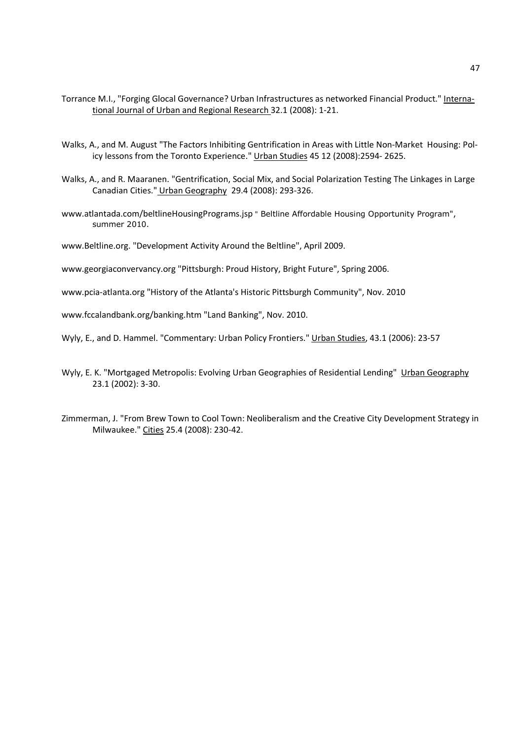- Torrance M.I., "Forging Glocal Governance? Urban Infrastructures as networked Financial Product." International Journal of Urban and Regional Research 32.1 (2008): 1-21.
- Walks, A., and M. August "The Factors Inhibiting Gentrification in Areas with Little Non-Market Housing: Policy lessons from the Toronto Experience." Urban Studies 45 12 (2008):2594- 2625.
- Walks, A., and R. Maaranen. "Gentrification, Social Mix, and Social Polarization Testing The Linkages in Large Canadian Cities." Urban Geography 29.4 (2008): 293-326.
- www.atlantada.com/beltlineHousingPrograms.jsp " Beltline Affordable Housing Opportunity Program", summer 2010.

www.Beltline.org. "Development Activity Around the Beltline", April 2009.

www.georgiaconvervancy.org "Pittsburgh: Proud History, Bright Future", Spring 2006.

www.pcia-atlanta.org "History of the Atlanta's Historic Pittsburgh Community", Nov. 2010

www.fccalandbank.org/banking.htm "Land Banking", Nov. 2010.

Wyly, E., and D. Hammel. "Commentary: Urban Policy Frontiers." Urban Studies, 43.1 (2006): 23-57

- Wyly, E. K. "Mortgaged Metropolis: Evolving Urban Geographies of Residential Lending" Urban Geography 23.1 (2002): 3-30.
- Zimmerman, J. "From Brew Town to Cool Town: Neoliberalism and the Creative City Development Strategy in Milwaukee." Cities 25.4 (2008): 230-42.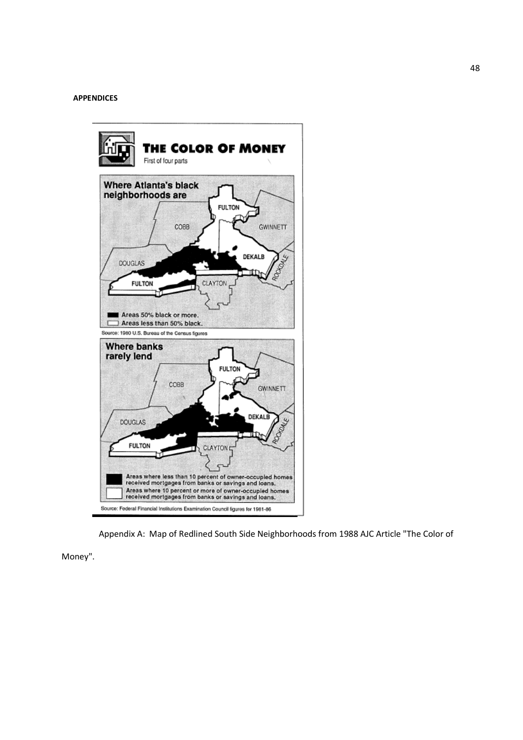### **APPENDICES**



Appendix A: Map of Redlined South Side Neighborhoods from 1988 AJC Article "The Color of

Money".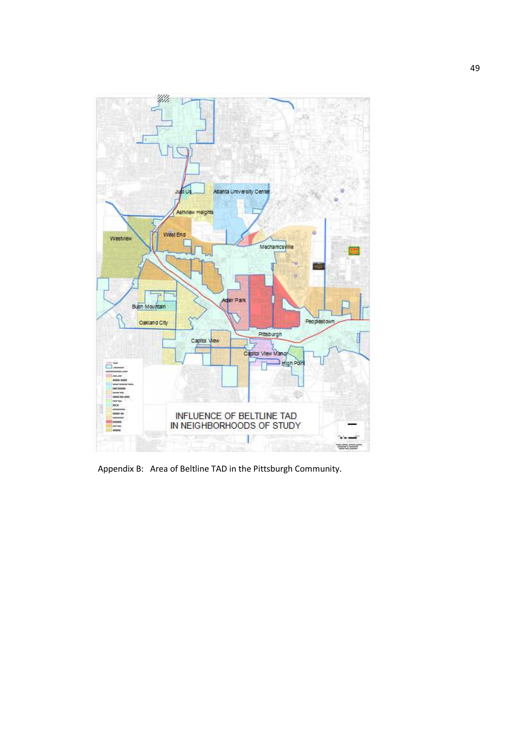

Appendix B: Area of Beltline TAD in the Pittsburgh Community.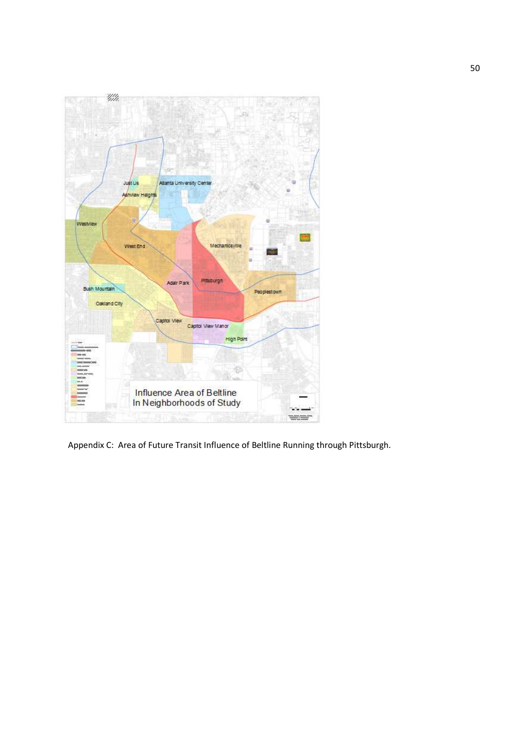

Appendix C: Area of Future Transit Influence of Beltline Running through Pittsburgh.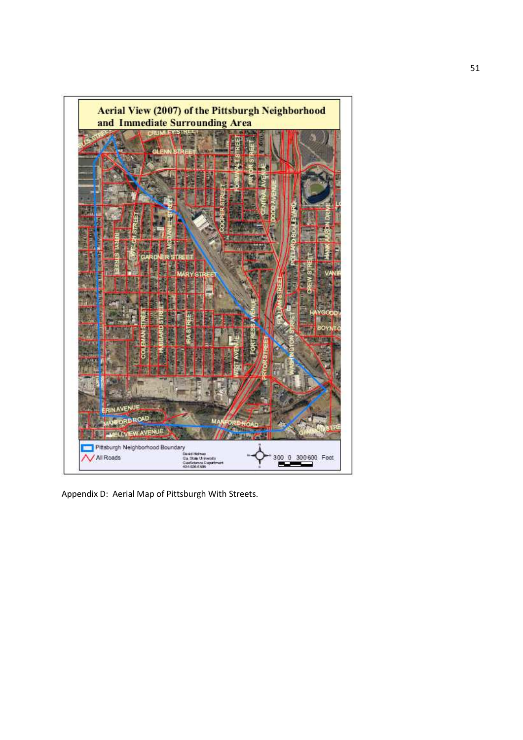

Appendix D: Aerial Map of Pittsburgh With Streets.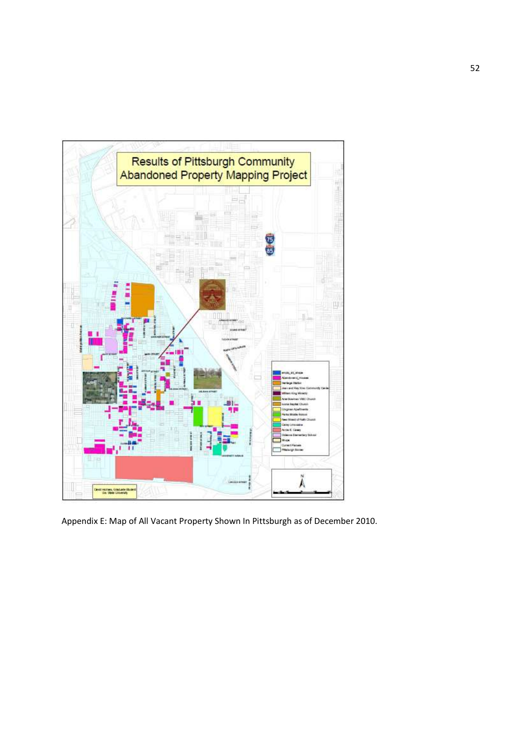

Appendix E: Map of All Vacant Property Shown In Pittsburgh as of December 2010.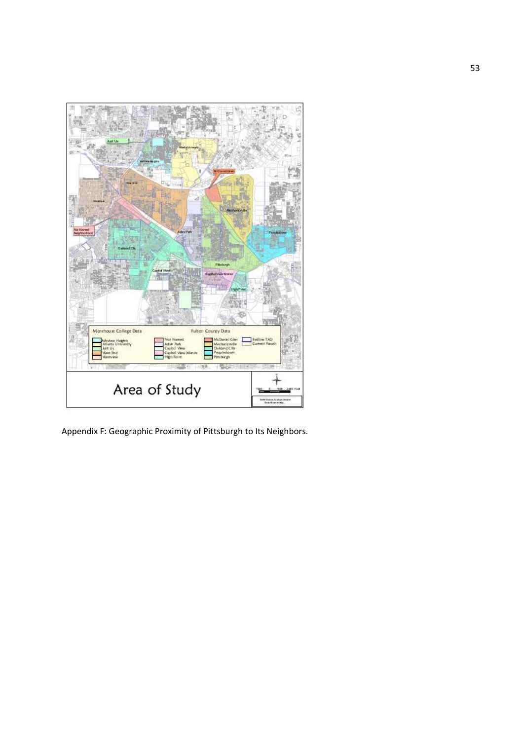

Appendix F: Geographic Proximity of Pittsburgh to Its Neighbors.